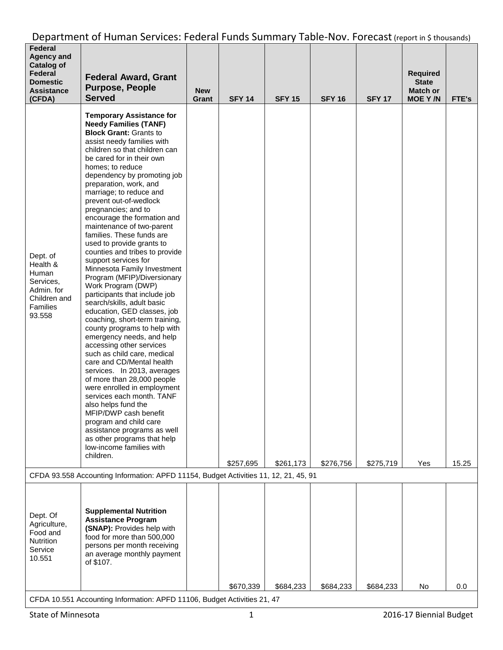| <b>Federal</b><br><b>Agency and</b><br><b>Catalog of</b><br>Federal<br><b>Domestic</b><br><b>Assistance</b><br>(CFDA) | <b>Federal Award, Grant</b><br><b>Purpose, People</b><br><b>Served</b>                                                                                                                                                                                                                                                                                                                                                                                                                                                                                                                                                                                                                                                                                                                                                                                                                                                                                                                                                                                                                                                                                                                                                   | <b>New</b><br>Grant | <b>SFY 14</b> | <b>SFY 15</b> | <b>SFY 16</b> | <b>SFY 17</b> | <b>Required</b><br><b>State</b><br><b>Match or</b><br><b>MOE Y/N</b> | FTE's |
|-----------------------------------------------------------------------------------------------------------------------|--------------------------------------------------------------------------------------------------------------------------------------------------------------------------------------------------------------------------------------------------------------------------------------------------------------------------------------------------------------------------------------------------------------------------------------------------------------------------------------------------------------------------------------------------------------------------------------------------------------------------------------------------------------------------------------------------------------------------------------------------------------------------------------------------------------------------------------------------------------------------------------------------------------------------------------------------------------------------------------------------------------------------------------------------------------------------------------------------------------------------------------------------------------------------------------------------------------------------|---------------------|---------------|---------------|---------------|---------------|----------------------------------------------------------------------|-------|
| Dept. of<br>Health &<br>Human<br>Services,<br>Admin. for<br>Children and<br>Families<br>93.558                        | <b>Temporary Assistance for</b><br><b>Needy Families (TANF)</b><br><b>Block Grant: Grants to</b><br>assist needy families with<br>children so that children can<br>be cared for in their own<br>homes; to reduce<br>dependency by promoting job<br>preparation, work, and<br>marriage; to reduce and<br>prevent out-of-wedlock<br>pregnancies; and to<br>encourage the formation and<br>maintenance of two-parent<br>families. These funds are<br>used to provide grants to<br>counties and tribes to provide<br>support services for<br>Minnesota Family Investment<br>Program (MFIP)/Diversionary<br>Work Program (DWP)<br>participants that include job<br>search/skills, adult basic<br>education, GED classes, job<br>coaching, short-term training,<br>county programs to help with<br>emergency needs, and help<br>accessing other services<br>such as child care, medical<br>care and CD/Mental health<br>services. In 2013, averages<br>of more than 28,000 people<br>were enrolled in employment<br>services each month. TANF<br>also helps fund the<br>MFIP/DWP cash benefit<br>program and child care<br>assistance programs as well<br>as other programs that help<br>low-income families with<br>children. |                     | \$257,695     | \$261,173     | \$276,756     | \$275,719     | Yes                                                                  | 15.25 |
|                                                                                                                       | CFDA 93.558 Accounting Information: APFD 11154, Budget Activities 11, 12, 21, 45, 91                                                                                                                                                                                                                                                                                                                                                                                                                                                                                                                                                                                                                                                                                                                                                                                                                                                                                                                                                                                                                                                                                                                                     |                     |               |               |               |               |                                                                      |       |
| Dept. Of<br>Agriculture,<br>Food and<br><b>Nutrition</b><br>Service<br>10.551                                         | <b>Supplemental Nutrition</b><br><b>Assistance Program</b><br>(SNAP): Provides help with<br>food for more than 500,000<br>persons per month receiving<br>an average monthly payment<br>of \$107.                                                                                                                                                                                                                                                                                                                                                                                                                                                                                                                                                                                                                                                                                                                                                                                                                                                                                                                                                                                                                         |                     |               |               |               |               |                                                                      |       |
|                                                                                                                       | CFDA 10.551 Accounting Information: APFD 11106, Budget Activities 21, 47                                                                                                                                                                                                                                                                                                                                                                                                                                                                                                                                                                                                                                                                                                                                                                                                                                                                                                                                                                                                                                                                                                                                                 |                     | \$670,339     | \$684,233     | \$684,233     | \$684,233     | No                                                                   | 0.0   |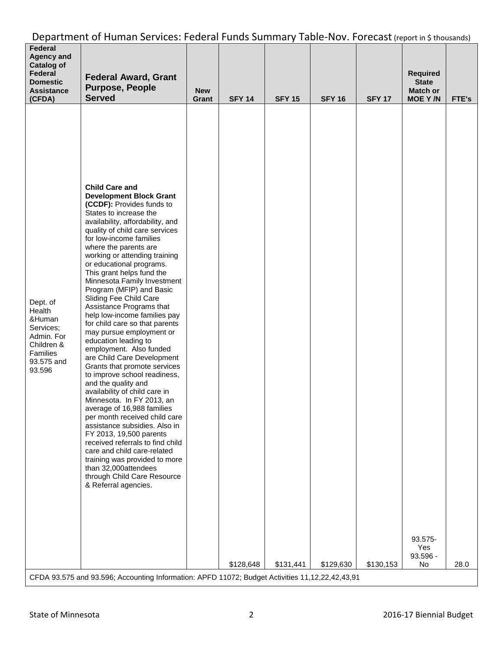| Department of Human Services: Federal Funds Summary Table-Nov. Forecast (report in \$ thousands) |  |
|--------------------------------------------------------------------------------------------------|--|
|--------------------------------------------------------------------------------------------------|--|

| Federal<br><b>Agency and</b><br><b>Catalog of</b><br>Federal<br><b>Domestic</b><br><b>Assistance</b><br>(CFDA) | <b>Federal Award, Grant</b><br><b>Purpose, People</b><br><b>Served</b>                                                                                                                                                                                                                                                                                                                                                                                                                                                                                                                                                                                                                                                                                                                                                                                                                                                                                                                                                                                                                                                                                                                                   | <b>New</b><br>Grant | <b>SFY 14</b> | <b>SFY 15</b> | <b>SFY 16</b> | <b>SFY 17</b> | <b>Required</b><br><b>State</b><br><b>Match or</b><br><b>MOEY/N</b> | FTE's |
|----------------------------------------------------------------------------------------------------------------|----------------------------------------------------------------------------------------------------------------------------------------------------------------------------------------------------------------------------------------------------------------------------------------------------------------------------------------------------------------------------------------------------------------------------------------------------------------------------------------------------------------------------------------------------------------------------------------------------------------------------------------------------------------------------------------------------------------------------------------------------------------------------------------------------------------------------------------------------------------------------------------------------------------------------------------------------------------------------------------------------------------------------------------------------------------------------------------------------------------------------------------------------------------------------------------------------------|---------------------|---------------|---------------|---------------|---------------|---------------------------------------------------------------------|-------|
| Dept. of<br>Health<br>&Human<br>Services;<br>Admin. For<br>Children &<br>Families<br>93.575 and<br>93.596      | <b>Child Care and</b><br><b>Development Block Grant</b><br>(CCDF): Provides funds to<br>States to increase the<br>availability, affordability, and<br>quality of child care services<br>for low-income families<br>where the parents are<br>working or attending training<br>or educational programs.<br>This grant helps fund the<br>Minnesota Family Investment<br>Program (MFIP) and Basic<br>Sliding Fee Child Care<br>Assistance Programs that<br>help low-income families pay<br>for child care so that parents<br>may pursue employment or<br>education leading to<br>employment. Also funded<br>are Child Care Development<br>Grants that promote services<br>to improve school readiness,<br>and the quality and<br>availability of child care in<br>Minnesota. In FY 2013, an<br>average of 16,988 families<br>per month received child care<br>assistance subsidies. Also in<br>FY 2013, 19,500 parents<br>received referrals to find child<br>care and child care-related<br>training was provided to more<br>than 32,000attendees<br>through Child Care Resource<br>& Referral agencies.<br>CFDA 93.575 and 93.596; Accounting Information: APFD 11072; Budget Activities 11,12,22,42,43,91 |                     | \$128,648     | \$131,441     | \$129,630     | \$130,153     | 93.575-<br>Yes<br>93.596 -<br>No                                    | 28.0  |
|                                                                                                                |                                                                                                                                                                                                                                                                                                                                                                                                                                                                                                                                                                                                                                                                                                                                                                                                                                                                                                                                                                                                                                                                                                                                                                                                          |                     |               |               |               |               |                                                                     |       |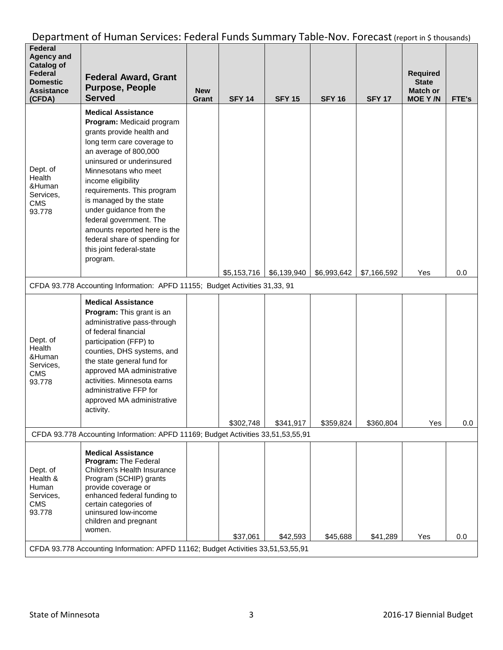| Federal<br><b>Agency and</b><br><b>Catalog of</b><br>Federal<br><b>Domestic</b><br><b>Assistance</b><br>(CFDA) | <b>Federal Award, Grant</b><br><b>Purpose, People</b><br><b>Served</b>                                                                                                                                                                                                                                                                                                                                                                        | <b>New</b><br>Grant | <b>SFY 14</b> | <b>SFY 15</b> | <b>SFY 16</b> | <b>SFY 17</b> | <b>Required</b><br><b>State</b><br><b>Match or</b><br><b>MOE Y/N</b> | FTE's   |
|----------------------------------------------------------------------------------------------------------------|-----------------------------------------------------------------------------------------------------------------------------------------------------------------------------------------------------------------------------------------------------------------------------------------------------------------------------------------------------------------------------------------------------------------------------------------------|---------------------|---------------|---------------|---------------|---------------|----------------------------------------------------------------------|---------|
| Dept. of<br>Health<br>&Human<br>Services,<br><b>CMS</b><br>93.778                                              | <b>Medical Assistance</b><br>Program: Medicaid program<br>grants provide health and<br>long term care coverage to<br>an average of 800,000<br>uninsured or underinsured<br>Minnesotans who meet<br>income eligibility<br>requirements. This program<br>is managed by the state<br>under guidance from the<br>federal government. The<br>amounts reported here is the<br>federal share of spending for<br>this joint federal-state<br>program. |                     |               |               |               |               |                                                                      |         |
|                                                                                                                | CFDA 93.778 Accounting Information: APFD 11155; Budget Activities 31,33, 91                                                                                                                                                                                                                                                                                                                                                                   |                     | \$5,153,716   | \$6,139,940   | \$6,993,642   | \$7,166,592   | Yes                                                                  | 0.0     |
| Dept. of<br>Health<br>&Human<br>Services,<br><b>CMS</b><br>93.778                                              | <b>Medical Assistance</b><br>Program: This grant is an<br>administrative pass-through<br>of federal financial<br>participation (FFP) to<br>counties, DHS systems, and<br>the state general fund for<br>approved MA administrative<br>activities. Minnesota earns<br>administrative FFP for<br>approved MA administrative<br>activity.                                                                                                         |                     | \$302,748     | \$341,917     | \$359,824     | \$360,804     | Yes                                                                  | $0.0\,$ |
|                                                                                                                | CFDA 93.778 Accounting Information: APFD 11169; Budget Activities 33,51,53,55,91                                                                                                                                                                                                                                                                                                                                                              |                     |               |               |               |               |                                                                      |         |
| Dept. of<br>Health &<br>Human<br>Services,<br><b>CMS</b><br>93.778                                             | <b>Medical Assistance</b><br>Program: The Federal<br>Children's Health Insurance<br>Program (SCHIP) grants<br>provide coverage or<br>enhanced federal funding to<br>certain categories of<br>uninsured low-income<br>children and pregnant<br>women.<br>CFDA 93.778 Accounting Information: APFD 11162; Budget Activities 33,51,53,55,91                                                                                                      |                     | \$37,061      | \$42,593      | \$45,688      | \$41,289      | Yes                                                                  | 0.0     |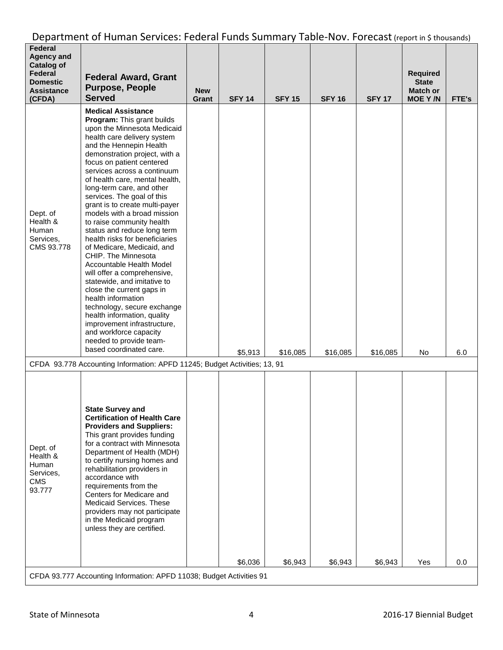| Federal<br><b>Agency and</b><br><b>Catalog of</b><br>Federal<br><b>Domestic</b><br><b>Assistance</b><br>(CFDA) | <b>Federal Award, Grant</b><br><b>Purpose, People</b><br><b>Served</b>                                                                                                                                                                                                                                                                                                                                                                                                                                                                                                                                                                                                                                                                                                                                                                                                                   | <b>New</b><br>Grant | <b>SFY 14</b> | <b>SFY 15</b> | <b>SFY 16</b> | <b>SFY 17</b> | <b>Required</b><br><b>State</b><br><b>Match or</b><br><b>MOE Y/N</b> | FTE's |
|----------------------------------------------------------------------------------------------------------------|------------------------------------------------------------------------------------------------------------------------------------------------------------------------------------------------------------------------------------------------------------------------------------------------------------------------------------------------------------------------------------------------------------------------------------------------------------------------------------------------------------------------------------------------------------------------------------------------------------------------------------------------------------------------------------------------------------------------------------------------------------------------------------------------------------------------------------------------------------------------------------------|---------------------|---------------|---------------|---------------|---------------|----------------------------------------------------------------------|-------|
| Dept. of<br>Health &<br>Human<br>Services,<br>CMS 93.778                                                       | <b>Medical Assistance</b><br>Program: This grant builds<br>upon the Minnesota Medicaid<br>health care delivery system<br>and the Hennepin Health<br>demonstration project, with a<br>focus on patient centered<br>services across a continuum<br>of health care, mental health,<br>long-term care, and other<br>services. The goal of this<br>grant is to create multi-payer<br>models with a broad mission<br>to raise community health<br>status and reduce long term<br>health risks for beneficiaries<br>of Medicare, Medicaid, and<br>CHIP. The Minnesota<br>Accountable Health Model<br>will offer a comprehensive,<br>statewide, and imitative to<br>close the current gaps in<br>health information<br>technology, secure exchange<br>health information, quality<br>improvement infrastructure,<br>and workforce capacity<br>needed to provide team-<br>based coordinated care. |                     |               |               |               |               |                                                                      |       |
|                                                                                                                | CFDA 93.778 Accounting Information: APFD 11245; Budget Activities; 13, 91                                                                                                                                                                                                                                                                                                                                                                                                                                                                                                                                                                                                                                                                                                                                                                                                                |                     | \$5,913       | \$16,085      | \$16,085      | \$16,085      | No                                                                   | 6.0   |
| Dept. of<br>Health &<br>Human<br>Services,<br><b>CMS</b><br>93.777                                             | <b>State Survey and</b><br><b>Certification of Health Care</b><br><b>Providers and Suppliers:</b><br>This grant provides funding<br>for a contract with Minnesota<br>Department of Health (MDH)<br>to certify nursing homes and<br>rehabilitation providers in<br>accordance with<br>requirements from the<br>Centers for Medicare and<br>Medicaid Services. These<br>providers may not participate<br>in the Medicaid program<br>unless they are certified.                                                                                                                                                                                                                                                                                                                                                                                                                             |                     | \$6,036       | \$6,943       | \$6,943       | \$6,943       | Yes                                                                  | 0.0   |
|                                                                                                                | CFDA 93.777 Accounting Information: APFD 11038; Budget Activities 91                                                                                                                                                                                                                                                                                                                                                                                                                                                                                                                                                                                                                                                                                                                                                                                                                     |                     |               |               |               |               |                                                                      |       |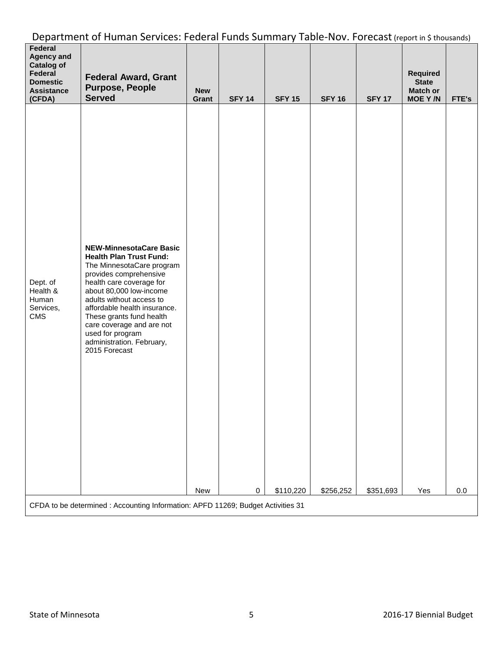| Federal<br><b>Agency and</b><br><b>Catalog of</b><br>Federal<br><b>Domestic</b><br><b>Assistance</b><br>(CFDA) | <b>Federal Award, Grant</b><br><b>Purpose, People</b><br><b>Served</b>                                                                                                                                                                                                                                                                                                | <b>New</b><br>Grant | <b>SFY 14</b> | <b>SFY 15</b> | <b>SFY 16</b> | <b>SFY 17</b> | <b>Required</b><br><b>State</b><br><b>Match or</b><br><b>MOEY/N</b> | FTE's   |
|----------------------------------------------------------------------------------------------------------------|-----------------------------------------------------------------------------------------------------------------------------------------------------------------------------------------------------------------------------------------------------------------------------------------------------------------------------------------------------------------------|---------------------|---------------|---------------|---------------|---------------|---------------------------------------------------------------------|---------|
| Dept. of<br>Health &<br>Human<br>Services,<br><b>CMS</b>                                                       | <b>NEW-MinnesotaCare Basic</b><br><b>Health Plan Trust Fund:</b><br>The MinnesotaCare program<br>provides comprehensive<br>health care coverage for<br>about 80,000 low-income<br>adults without access to<br>affordable health insurance.<br>These grants fund health<br>care coverage and are not<br>used for program<br>administration. February,<br>2015 Forecast | New                 | $\pmb{0}$     | \$110,220     | \$256,252     | \$351,693     | Yes                                                                 | $0.0\,$ |
|                                                                                                                | CFDA to be determined : Accounting Information: APFD 11269; Budget Activities 31                                                                                                                                                                                                                                                                                      |                     |               |               |               |               |                                                                     |         |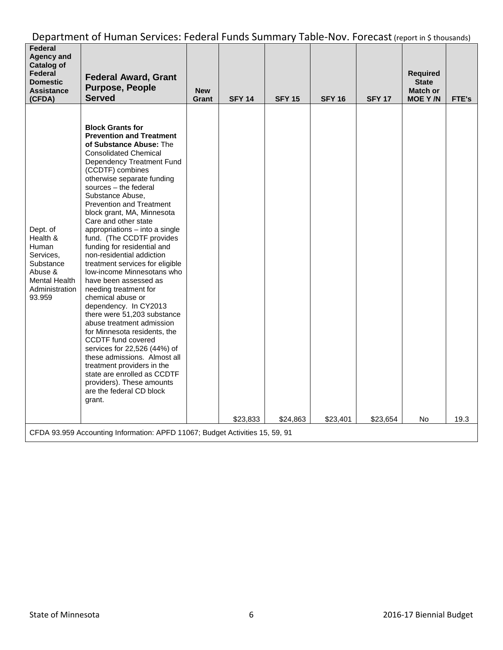| Federal<br>Agency and<br>Catalog of<br>Federal<br><b>Domestic</b><br><b>Assistance</b><br>(CFDA)                | <b>Federal Award, Grant</b><br><b>Purpose, People</b><br><b>Served</b>                                                                                                                                                                                                                                                                                                                                                                                                                                                                                                                                                                                                                                                                                                                                                                                                                                                                                          | <b>New</b><br>Grant | <b>SFY 14</b> | <b>SFY 15</b> | <b>SFY 16</b> | <b>SFY 17</b> | <b>Required</b><br><b>State</b><br><b>Match or</b><br><b>MOE Y/N</b> | FTE's |
|-----------------------------------------------------------------------------------------------------------------|-----------------------------------------------------------------------------------------------------------------------------------------------------------------------------------------------------------------------------------------------------------------------------------------------------------------------------------------------------------------------------------------------------------------------------------------------------------------------------------------------------------------------------------------------------------------------------------------------------------------------------------------------------------------------------------------------------------------------------------------------------------------------------------------------------------------------------------------------------------------------------------------------------------------------------------------------------------------|---------------------|---------------|---------------|---------------|---------------|----------------------------------------------------------------------|-------|
| Dept. of<br>Health &<br>Human<br>Services,<br>Substance<br>Abuse &<br>Mental Health<br>Administration<br>93.959 | <b>Block Grants for</b><br><b>Prevention and Treatment</b><br>of Substance Abuse: The<br><b>Consolidated Chemical</b><br>Dependency Treatment Fund<br>(CCDTF) combines<br>otherwise separate funding<br>sources - the federal<br>Substance Abuse,<br><b>Prevention and Treatment</b><br>block grant, MA, Minnesota<br>Care and other state<br>appropriations - into a single<br>fund. (The CCDTF provides<br>funding for residential and<br>non-residential addiction<br>treatment services for eligible<br>low-income Minnesotans who<br>have been assessed as<br>needing treatment for<br>chemical abuse or<br>dependency. In CY2013<br>there were 51,203 substance<br>abuse treatment admission<br>for Minnesota residents, the<br><b>CCDTF</b> fund covered<br>services for 22,526 (44%) of<br>these admissions. Almost all<br>treatment providers in the<br>state are enrolled as CCDTF<br>providers). These amounts<br>are the federal CD block<br>grant. |                     | \$23,833      | \$24,863      | \$23,401      | \$23,654      | No                                                                   | 19.3  |
|                                                                                                                 | CFDA 93.959 Accounting Information: APFD 11067; Budget Activities 15, 59, 91                                                                                                                                                                                                                                                                                                                                                                                                                                                                                                                                                                                                                                                                                                                                                                                                                                                                                    |                     |               |               |               |               |                                                                      |       |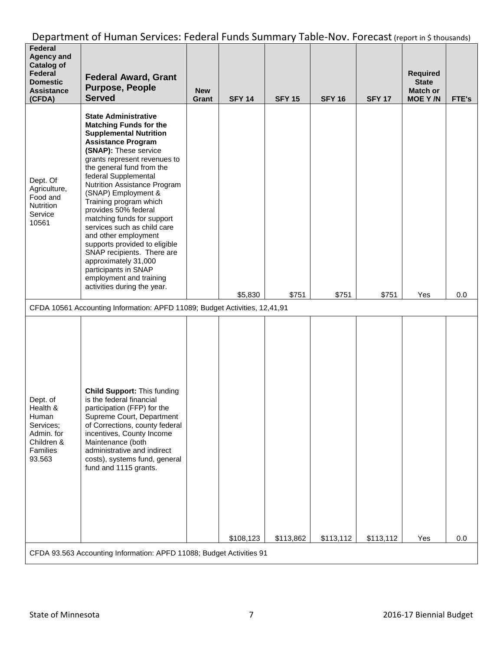| <b>Federal</b><br><b>Agency and</b><br><b>Catalog of</b><br>Federal<br><b>Domestic</b><br><b>Assistance</b><br>(CFDA) | <b>Federal Award, Grant</b><br><b>Purpose, People</b><br><b>Served</b>                                                                                                                                                                                                                                                                                                                                                                                                                                                                                                                                          | <b>New</b><br>Grant | <b>SFY 14</b> | <b>SFY 15</b> | <b>SFY 16</b> | <b>SFY 17</b> | <b>Required</b><br><b>State</b><br><b>Match or</b><br><b>MOE Y/N</b> | FTE's |
|-----------------------------------------------------------------------------------------------------------------------|-----------------------------------------------------------------------------------------------------------------------------------------------------------------------------------------------------------------------------------------------------------------------------------------------------------------------------------------------------------------------------------------------------------------------------------------------------------------------------------------------------------------------------------------------------------------------------------------------------------------|---------------------|---------------|---------------|---------------|---------------|----------------------------------------------------------------------|-------|
| Dept. Of<br>Agriculture,<br>Food and<br>Nutrition<br>Service<br>10561                                                 | <b>State Administrative</b><br><b>Matching Funds for the</b><br><b>Supplemental Nutrition</b><br><b>Assistance Program</b><br>(SNAP): These service<br>grants represent revenues to<br>the general fund from the<br>federal Supplemental<br>Nutrition Assistance Program<br>(SNAP) Employment &<br>Training program which<br>provides 50% federal<br>matching funds for support<br>services such as child care<br>and other employment<br>supports provided to eligible<br>SNAP recipients. There are<br>approximately 31,000<br>participants in SNAP<br>employment and training<br>activities during the year. |                     | \$5,830       | \$751         | \$751         | \$751         | Yes                                                                  | 0.0   |
|                                                                                                                       | CFDA 10561 Accounting Information: APFD 11089; Budget Activities, 12,41,91                                                                                                                                                                                                                                                                                                                                                                                                                                                                                                                                      |                     |               |               |               |               |                                                                      |       |
| Dept. of<br>Health &<br>Human<br>Services;<br>Admin. for<br>Children &<br>Families<br>93.563                          | <b>Child Support: This funding</b><br>is the federal financial<br>participation (FFP) for the<br>Supreme Court, Department<br>of Corrections, county federal<br>incentives, County Income<br>Maintenance (both<br>administrative and indirect<br>costs), systems fund, general<br>fund and 1115 grants.                                                                                                                                                                                                                                                                                                         |                     | \$108,123     | \$113,862     | \$113,112     | \$113,112     | Yes                                                                  | 0.0   |
|                                                                                                                       | CFDA 93.563 Accounting Information: APFD 11088; Budget Activities 91                                                                                                                                                                                                                                                                                                                                                                                                                                                                                                                                            |                     |               |               |               |               |                                                                      |       |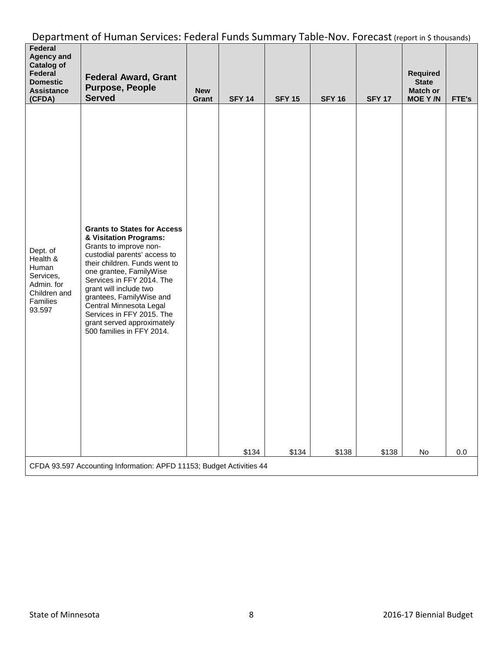| Federal<br><b>Agency and</b><br><b>Catalog of</b><br>Federal<br><b>Domestic</b><br><b>Assistance</b><br>(CFDA) | <b>Federal Award, Grant</b><br><b>Purpose, People</b><br><b>Served</b>                                                                                                                                                                                                                                                                                                                   | <b>New</b><br>Grant | <b>SFY 14</b> | <b>SFY 15</b> | <b>SFY 16</b> | <b>SFY 17</b> | Required<br><b>State</b><br><b>Match or</b><br><b>MOEY/N</b> | FTE's |
|----------------------------------------------------------------------------------------------------------------|------------------------------------------------------------------------------------------------------------------------------------------------------------------------------------------------------------------------------------------------------------------------------------------------------------------------------------------------------------------------------------------|---------------------|---------------|---------------|---------------|---------------|--------------------------------------------------------------|-------|
| Dept. of<br>Health &<br>Human<br>Services,<br>Admin. for<br>Children and<br>Families<br>93.597                 | <b>Grants to States for Access</b><br>& Visitation Programs:<br>Grants to improve non-<br>custodial parents' access to<br>their children. Funds went to<br>one grantee, FamilyWise<br>Services in FFY 2014. The<br>grant will include two<br>grantees, FamilyWise and<br>Central Minnesota Legal<br>Services in FFY 2015. The<br>grant served approximately<br>500 families in FFY 2014. |                     | \$134         | \$134         | \$138         | \$138         | No                                                           | 0.0   |
|                                                                                                                | CFDA 93.597 Accounting Information: APFD 11153; Budget Activities 44                                                                                                                                                                                                                                                                                                                     |                     |               |               |               |               |                                                              |       |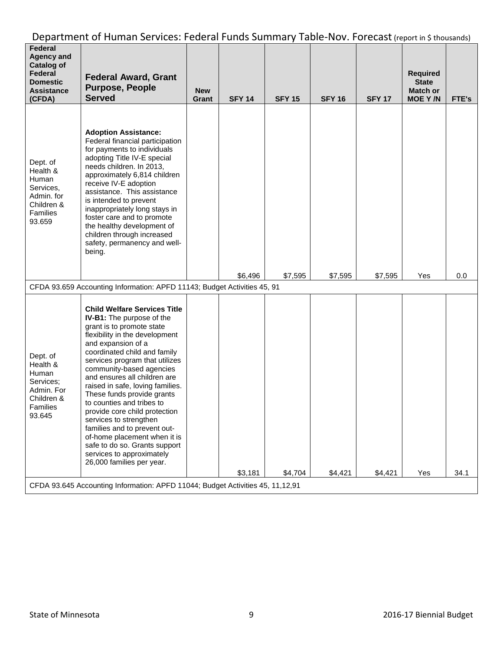| Federal<br><b>Agency and</b><br><b>Catalog of</b><br>Federal<br><b>Domestic</b><br><b>Assistance</b><br>(CFDA) | <b>Federal Award, Grant</b><br><b>Purpose, People</b><br><b>Served</b>                                                                                                                                                                                                                                                                                                                                                                                                                                                                                                                                          | <b>New</b><br>Grant | <b>SFY 14</b> | <b>SFY 15</b> | <b>SFY 16</b> | <b>SFY 17</b> | <b>Required</b><br><b>State</b><br><b>Match or</b><br><b>MOE Y/N</b> | FTE's |
|----------------------------------------------------------------------------------------------------------------|-----------------------------------------------------------------------------------------------------------------------------------------------------------------------------------------------------------------------------------------------------------------------------------------------------------------------------------------------------------------------------------------------------------------------------------------------------------------------------------------------------------------------------------------------------------------------------------------------------------------|---------------------|---------------|---------------|---------------|---------------|----------------------------------------------------------------------|-------|
| Dept. of<br>Health &<br>Human<br>Services,<br>Admin. for<br>Children &<br>Families<br>93.659                   | <b>Adoption Assistance:</b><br>Federal financial participation<br>for payments to individuals<br>adopting Title IV-E special<br>needs children. In 2013,<br>approximately 6,814 children<br>receive IV-E adoption<br>assistance. This assistance<br>is intended to prevent<br>inappropriately long stays in<br>foster care and to promote<br>the healthy development of<br>children through increased<br>safety, permanency and well-<br>being.                                                                                                                                                                 |                     |               |               |               |               |                                                                      |       |
|                                                                                                                |                                                                                                                                                                                                                                                                                                                                                                                                                                                                                                                                                                                                                 |                     | \$6.496       | \$7,595       | \$7,595       | \$7,595       | Yes                                                                  | 0.0   |
|                                                                                                                | CFDA 93.659 Accounting Information: APFD 11143; Budget Activities 45, 91                                                                                                                                                                                                                                                                                                                                                                                                                                                                                                                                        |                     |               |               |               |               |                                                                      |       |
| Dept. of<br>Health &<br>Human<br>Services;<br>Admin. For<br>Children &<br>Families<br>93.645                   | <b>Child Welfare Services Title</b><br><b>IV-B1:</b> The purpose of the<br>grant is to promote state<br>flexibility in the development<br>and expansion of a<br>coordinated child and family<br>services program that utilizes<br>community-based agencies<br>and ensures all children are<br>raised in safe, loving families.<br>These funds provide grants<br>to counties and tribes to<br>provide core child protection<br>services to strengthen<br>families and to prevent out-<br>of-home placement when it is<br>safe to do so. Grants support<br>services to approximately<br>26,000 families per year. |                     |               |               |               |               |                                                                      |       |
|                                                                                                                | CFDA 93.645 Accounting Information: APFD 11044; Budget Activities 45, 11,12,91                                                                                                                                                                                                                                                                                                                                                                                                                                                                                                                                  |                     | \$3,181       | \$4,704       | \$4,421       | \$4,421       | Yes                                                                  | 34.1  |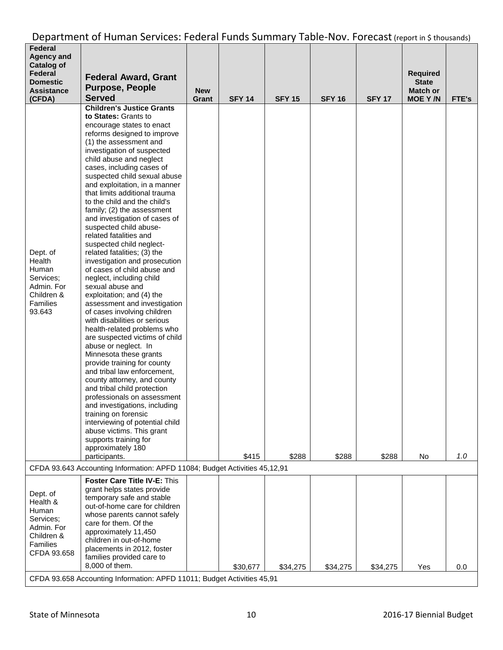| Federal<br><b>Agency and</b><br><b>Catalog of</b><br>Federal<br><b>Domestic</b><br><b>Assistance</b><br>(CFDA) | <b>Federal Award, Grant</b><br><b>Purpose, People</b><br><b>Served</b>                                                                                                                                                                                                                                                                                                                                                                                                                                                                                                                                                                                                                                                                                                                                                                                                                                                                                                                                                                                                                                                                                                                                                                                                 | <b>New</b><br>Grant | <b>SFY 14</b> | <b>SFY 15</b> | <b>SFY 16</b> | <b>SFY 17</b> | <b>Required</b><br><b>State</b><br><b>Match or</b><br><b>MOE Y/N</b> | FTE's |
|----------------------------------------------------------------------------------------------------------------|------------------------------------------------------------------------------------------------------------------------------------------------------------------------------------------------------------------------------------------------------------------------------------------------------------------------------------------------------------------------------------------------------------------------------------------------------------------------------------------------------------------------------------------------------------------------------------------------------------------------------------------------------------------------------------------------------------------------------------------------------------------------------------------------------------------------------------------------------------------------------------------------------------------------------------------------------------------------------------------------------------------------------------------------------------------------------------------------------------------------------------------------------------------------------------------------------------------------------------------------------------------------|---------------------|---------------|---------------|---------------|---------------|----------------------------------------------------------------------|-------|
| Dept. of<br>Health<br>Human<br>Services:<br>Admin. For<br>Children &<br>Families<br>93.643                     | <b>Children's Justice Grants</b><br>to States: Grants to<br>encourage states to enact<br>reforms designed to improve<br>(1) the assessment and<br>investigation of suspected<br>child abuse and neglect<br>cases, including cases of<br>suspected child sexual abuse<br>and exploitation, in a manner<br>that limits additional trauma<br>to the child and the child's<br>family; (2) the assessment<br>and investigation of cases of<br>suspected child abuse-<br>related fatalities and<br>suspected child neglect-<br>related fatalities; (3) the<br>investigation and prosecution<br>of cases of child abuse and<br>neglect, including child<br>sexual abuse and<br>exploitation; and (4) the<br>assessment and investigation<br>of cases involving children<br>with disabilities or serious<br>health-related problems who<br>are suspected victims of child<br>abuse or neglect. In<br>Minnesota these grants<br>provide training for county<br>and tribal law enforcement,<br>county attorney, and county<br>and tribal child protection<br>professionals on assessment<br>and investigations, including<br>training on forensic<br>interviewing of potential child<br>abuse victims. This grant<br>supports training for<br>approximately 180<br>participants. |                     | \$415         | \$288         | \$288         | \$288         | No                                                                   | 1.0   |
|                                                                                                                | CFDA 93.643 Accounting Information: APFD 11084; Budget Activities 45,12,91                                                                                                                                                                                                                                                                                                                                                                                                                                                                                                                                                                                                                                                                                                                                                                                                                                                                                                                                                                                                                                                                                                                                                                                             |                     |               |               |               |               |                                                                      |       |
|                                                                                                                | Foster Care Title IV-E: This                                                                                                                                                                                                                                                                                                                                                                                                                                                                                                                                                                                                                                                                                                                                                                                                                                                                                                                                                                                                                                                                                                                                                                                                                                           |                     |               |               |               |               |                                                                      |       |
| Dept. of<br>Health &<br>Human<br>Services;<br>Admin. For<br>Children &<br>Families<br>CFDA 93.658              | grant helps states provide<br>temporary safe and stable<br>out-of-home care for children<br>whose parents cannot safely<br>care for them. Of the<br>approximately 11,450<br>children in out-of-home<br>placements in 2012, foster<br>families provided care to                                                                                                                                                                                                                                                                                                                                                                                                                                                                                                                                                                                                                                                                                                                                                                                                                                                                                                                                                                                                         |                     |               |               |               |               |                                                                      |       |
|                                                                                                                | 8,000 of them.<br>CFDA 93.658 Accounting Information: APFD 11011; Budget Activities 45,91                                                                                                                                                                                                                                                                                                                                                                                                                                                                                                                                                                                                                                                                                                                                                                                                                                                                                                                                                                                                                                                                                                                                                                              |                     | \$30,677      | \$34,275      | \$34,275      | \$34,275      | Yes                                                                  | 0.0   |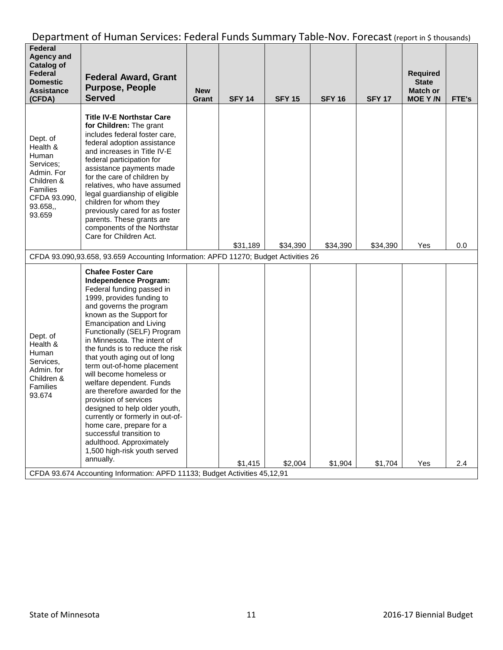| Federal<br><b>Agency and</b><br><b>Catalog of</b><br>Federal<br><b>Domestic</b><br><b>Assistance</b><br>(CFDA)          | <b>Federal Award, Grant</b><br><b>Purpose, People</b><br><b>Served</b>                                                                                                                                                                                                                                                                                                                                                                                                                                                                                                                                                                                                                                                                                                    | <b>New</b><br>Grant | <b>SFY 14</b> | <b>SFY 15</b> | <b>SFY 16</b> | <b>SFY 17</b> | <b>Required</b><br><b>State</b><br><b>Match or</b><br><b>MOE Y/N</b> | FTE's |
|-------------------------------------------------------------------------------------------------------------------------|---------------------------------------------------------------------------------------------------------------------------------------------------------------------------------------------------------------------------------------------------------------------------------------------------------------------------------------------------------------------------------------------------------------------------------------------------------------------------------------------------------------------------------------------------------------------------------------------------------------------------------------------------------------------------------------------------------------------------------------------------------------------------|---------------------|---------------|---------------|---------------|---------------|----------------------------------------------------------------------|-------|
| Dept. of<br>Health &<br>Human<br>Services:<br>Admin. For<br>Children &<br>Families<br>CFDA 93.090,<br>93.658,<br>93.659 | <b>Title IV-E Northstar Care</b><br>for Children: The grant<br>includes federal foster care,<br>federal adoption assistance<br>and increases in Title IV-E<br>federal participation for<br>assistance payments made<br>for the care of children by<br>relatives, who have assumed<br>legal guardianship of eligible<br>children for whom they<br>previously cared for as foster<br>parents. These grants are<br>components of the Northstar<br>Care for Children Act.                                                                                                                                                                                                                                                                                                     |                     | \$31,189      | \$34,390      | \$34,390      | \$34,390      | Yes                                                                  | 0.0   |
|                                                                                                                         | CFDA 93.090,93.658, 93.659 Accounting Information: APFD 11270; Budget Activities 26                                                                                                                                                                                                                                                                                                                                                                                                                                                                                                                                                                                                                                                                                       |                     |               |               |               |               |                                                                      |       |
| Dept. of<br>Health &<br>Human<br>Services,<br>Admin. for<br>Children &<br>Families<br>93.674                            | <b>Chafee Foster Care</b><br>Independence Program:<br>Federal funding passed in<br>1999, provides funding to<br>and governs the program<br>known as the Support for<br><b>Emancipation and Living</b><br>Functionally (SELF) Program<br>in Minnesota. The intent of<br>the funds is to reduce the risk<br>that youth aging out of long<br>term out-of-home placement<br>will become homeless or<br>welfare dependent. Funds<br>are therefore awarded for the<br>provision of services<br>designed to help older youth,<br>currently or formerly in out-of-<br>home care, prepare for a<br>successful transition to<br>adulthood. Approximately<br>1,500 high-risk youth served<br>annually.<br>CFDA 93.674 Accounting Information: APFD 11133; Budget Activities 45,12,91 |                     | \$1,415       | \$2,004       | \$1,904       | \$1,704       | Yes                                                                  | 2.4   |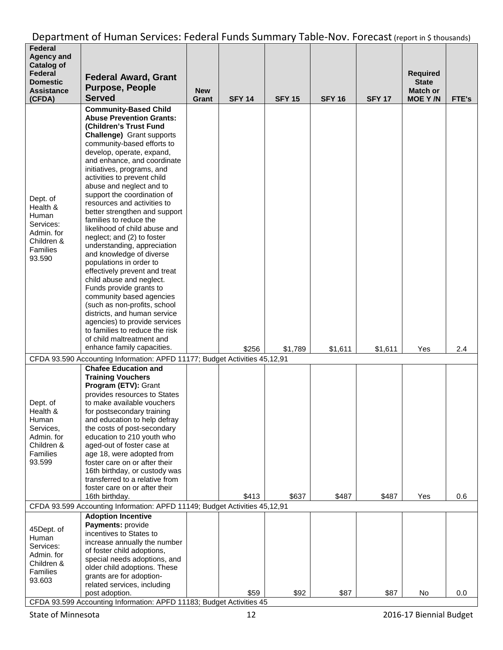| Federal<br><b>Agency and</b><br><b>Catalog of</b><br>Federal<br><b>Domestic</b><br><b>Assistance</b><br>(CFDA) | <b>Federal Award, Grant</b><br><b>Purpose, People</b><br><b>Served</b>                                                                                                                                                                                                                                                                                                                                                                                                                                                                                                                                                                                                                                                                                                                                                                                                                                           | <b>New</b><br>Grant | <b>SFY 14</b> | <b>SFY 15</b> | <b>SFY 16</b> | <b>SFY 17</b> | <b>Required</b><br><b>State</b><br><b>Match or</b><br><b>MOE Y/N</b> | FTE's |
|----------------------------------------------------------------------------------------------------------------|------------------------------------------------------------------------------------------------------------------------------------------------------------------------------------------------------------------------------------------------------------------------------------------------------------------------------------------------------------------------------------------------------------------------------------------------------------------------------------------------------------------------------------------------------------------------------------------------------------------------------------------------------------------------------------------------------------------------------------------------------------------------------------------------------------------------------------------------------------------------------------------------------------------|---------------------|---------------|---------------|---------------|---------------|----------------------------------------------------------------------|-------|
| Dept. of<br>Health &<br>Human<br>Services:<br>Admin. for<br>Children &<br>Families<br>93.590                   | <b>Community-Based Child</b><br><b>Abuse Prevention Grants:</b><br>(Children's Trust Fund<br><b>Challenge)</b> Grant supports<br>community-based efforts to<br>develop, operate, expand,<br>and enhance, and coordinate<br>initiatives, programs, and<br>activities to prevent child<br>abuse and neglect and to<br>support the coordination of<br>resources and activities to<br>better strengthen and support<br>families to reduce the<br>likelihood of child abuse and<br>neglect; and (2) to foster<br>understanding, appreciation<br>and knowledge of diverse<br>populations in order to<br>effectively prevent and treat<br>child abuse and neglect.<br>Funds provide grants to<br>community based agencies<br>(such as non-profits, school<br>districts, and human service<br>agencies) to provide services<br>to families to reduce the risk<br>of child maltreatment and<br>enhance family capacities. |                     | \$256         | \$1,789       | \$1,611       | \$1,611       | Yes                                                                  | 2.4   |
|                                                                                                                | CFDA 93.590 Accounting Information: APFD 11177; Budget Activities 45,12,91                                                                                                                                                                                                                                                                                                                                                                                                                                                                                                                                                                                                                                                                                                                                                                                                                                       |                     |               |               |               |               |                                                                      |       |
| Dept. of<br>Health &<br>Human<br>Services,<br>Admin. for<br>Children &<br>Families<br>93.599                   | <b>Chafee Education and</b><br><b>Training Vouchers</b><br>Program (ETV): Grant<br>provides resources to States<br>to make available vouchers<br>for postsecondary training<br>and education to help defray<br>the costs of post-secondary<br>education to 210 youth who<br>aged-out of foster case at<br>age 18, were adopted from<br>foster care on or after their<br>16th birthday, or custody was<br>transferred to a relative from<br>foster care on or after their<br>16th birthday.                                                                                                                                                                                                                                                                                                                                                                                                                       |                     | \$413         | \$637         | \$487         | \$487         | Yes                                                                  | 0.6   |
|                                                                                                                | CFDA 93.599 Accounting Information: APFD 11149; Budget Activities 45,12,91                                                                                                                                                                                                                                                                                                                                                                                                                                                                                                                                                                                                                                                                                                                                                                                                                                       |                     |               |               |               |               |                                                                      |       |
| 45Dept. of<br>Human<br>Services:<br>Admin. for<br>Children &<br>Families<br>93.603                             | <b>Adoption Incentive</b><br>Payments: provide<br>incentives to States to<br>increase annually the number<br>of foster child adoptions,<br>special needs adoptions, and<br>older child adoptions. These<br>grants are for adoption-<br>related services, including<br>post adoption.                                                                                                                                                                                                                                                                                                                                                                                                                                                                                                                                                                                                                             |                     | \$59          | \$92          | \$87          | \$87          | No                                                                   | 0.0   |
|                                                                                                                | CFDA 93.599 Accounting Information: APFD 11183; Budget Activities 45                                                                                                                                                                                                                                                                                                                                                                                                                                                                                                                                                                                                                                                                                                                                                                                                                                             |                     |               |               |               |               |                                                                      |       |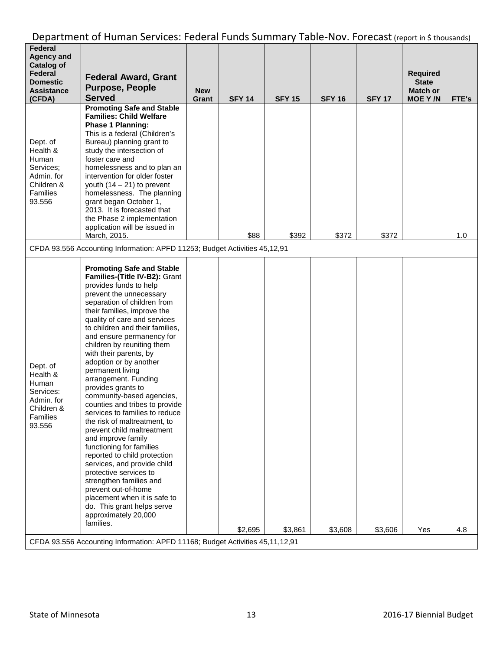| <b>Agency and</b><br><b>Catalog of</b>                                                              |                                                                                                                                                                                                                                                                                                                                                                                                                                                                                                                                                                                                                                                                                                                                                                                                                                                                                                                                                                                          |                     |               |               |               |               |                                   |       |
|-----------------------------------------------------------------------------------------------------|------------------------------------------------------------------------------------------------------------------------------------------------------------------------------------------------------------------------------------------------------------------------------------------------------------------------------------------------------------------------------------------------------------------------------------------------------------------------------------------------------------------------------------------------------------------------------------------------------------------------------------------------------------------------------------------------------------------------------------------------------------------------------------------------------------------------------------------------------------------------------------------------------------------------------------------------------------------------------------------|---------------------|---------------|---------------|---------------|---------------|-----------------------------------|-------|
| Federal<br><b>Domestic</b>                                                                          | <b>Federal Award, Grant</b>                                                                                                                                                                                                                                                                                                                                                                                                                                                                                                                                                                                                                                                                                                                                                                                                                                                                                                                                                              |                     |               |               |               |               | <b>Required</b><br><b>State</b>   |       |
| <b>Assistance</b><br>(CFDA)                                                                         | <b>Purpose, People</b><br><b>Served</b>                                                                                                                                                                                                                                                                                                                                                                                                                                                                                                                                                                                                                                                                                                                                                                                                                                                                                                                                                  | <b>New</b><br>Grant | <b>SFY 14</b> | <b>SFY 15</b> | <b>SFY 16</b> | <b>SFY 17</b> | <b>Match or</b><br><b>MOE Y/N</b> | FTE's |
| Dept. of<br>Health &<br>Human<br>Services;<br>Admin. for<br>Children &<br>Families<br>93.556        | <b>Promoting Safe and Stable</b><br><b>Families: Child Welfare</b><br><b>Phase 1 Planning:</b><br>This is a federal (Children's<br>Bureau) planning grant to<br>study the intersection of<br>foster care and<br>homelessness and to plan an<br>intervention for older foster<br>youth $(14 - 21)$ to prevent<br>homelessness. The planning<br>grant began October 1,<br>2013. It is forecasted that<br>the Phase 2 implementation<br>application will be issued in<br>March, 2015.                                                                                                                                                                                                                                                                                                                                                                                                                                                                                                       |                     | \$88          | \$392         | \$372         | \$372         |                                   | 1.0   |
|                                                                                                     | CFDA 93.556 Accounting Information: APFD 11253; Budget Activities 45,12,91                                                                                                                                                                                                                                                                                                                                                                                                                                                                                                                                                                                                                                                                                                                                                                                                                                                                                                               |                     |               |               |               |               |                                   |       |
| Dept. of<br>Health &<br>Human<br>Services:<br>Admin. for<br>Children &<br><b>Families</b><br>93.556 | <b>Promoting Safe and Stable</b><br>Families-(Title IV-B2): Grant<br>provides funds to help<br>prevent the unnecessary<br>separation of children from<br>their families, improve the<br>quality of care and services<br>to children and their families,<br>and ensure permanency for<br>children by reuniting them<br>with their parents, by<br>adoption or by another<br>permanent living<br>arrangement. Funding<br>provides grants to<br>community-based agencies,<br>counties and tribes to provide<br>services to families to reduce<br>the risk of maltreatment, to<br>prevent child maltreatment<br>and improve family<br>functioning for families<br>reported to child protection<br>services, and provide child<br>protective services to<br>strengthen families and<br>prevent out-of-home<br>placement when it is safe to<br>do. This grant helps serve<br>approximately 20,000<br>families.<br>CFDA 93.556 Accounting Information: APFD 11168; Budget Activities 45,11,12,91 |                     | \$2,695       | \$3,861       | \$3,608       | \$3,606       | Yes                               | 4.8   |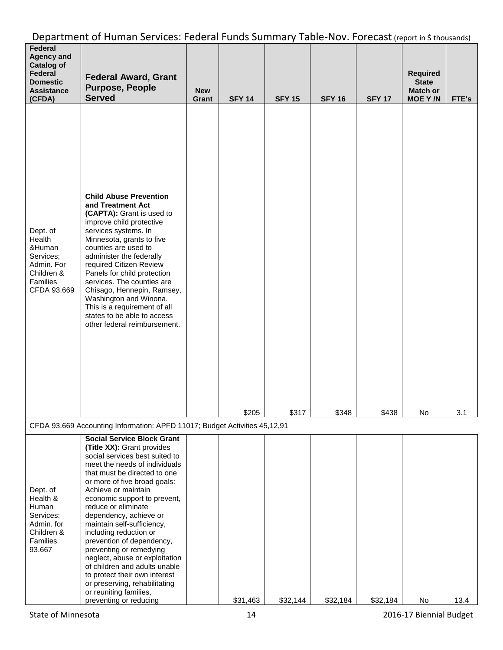| Federal<br><b>Agency and</b><br><b>Catalog of</b><br>Federal<br><b>Domestic</b><br><b>Assistance</b><br>(CFDA) | <b>Federal Award, Grant</b><br><b>Purpose, People</b><br><b>Served</b>                                                                                                                                                                                                                                                                                                                                                                                                                                                                                                                                              | <b>New</b><br>Grant | <b>SFY 14</b> | <b>SFY 15</b> | <b>SFY 16</b> | <b>SFY 17</b> | <b>Required</b><br><b>State</b><br><b>Match or</b><br><b>MOE Y/N</b> | FTE's |
|----------------------------------------------------------------------------------------------------------------|---------------------------------------------------------------------------------------------------------------------------------------------------------------------------------------------------------------------------------------------------------------------------------------------------------------------------------------------------------------------------------------------------------------------------------------------------------------------------------------------------------------------------------------------------------------------------------------------------------------------|---------------------|---------------|---------------|---------------|---------------|----------------------------------------------------------------------|-------|
| Dept. of<br>Health<br>&Human<br>Services;<br>Admin. For<br>Children &<br>Families<br>CFDA 93.669               | <b>Child Abuse Prevention</b><br>and Treatment Act<br>(CAPTA): Grant is used to<br>improve child protective<br>services systems. In<br>Minnesota, grants to five<br>counties are used to<br>administer the federally<br>required Citizen Review<br>Panels for child protection<br>services. The counties are<br>Chisago, Hennepin, Ramsey,<br>Washington and Winona.<br>This is a requirement of all<br>states to be able to access<br>other federal reimbursement.                                                                                                                                                 |                     | \$205         | \$317         | \$348         | \$438         | No                                                                   | 3.1   |
|                                                                                                                | CFDA 93.669 Accounting Information: APFD 11017; Budget Activities 45,12,91                                                                                                                                                                                                                                                                                                                                                                                                                                                                                                                                          |                     |               |               |               |               |                                                                      |       |
| Dept. of<br>Health &<br>Human<br>Services:<br>Admin. for<br>Children &<br>Families<br>93.667                   | <b>Social Service Block Grant</b><br>(Title XX): Grant provides<br>social services best suited to<br>meet the needs of individuals<br>that must be directed to one<br>or more of five broad goals:<br>Achieve or maintain<br>economic support to prevent,<br>reduce or eliminate<br>dependency, achieve or<br>maintain self-sufficiency,<br>including reduction or<br>prevention of dependency,<br>preventing or remedying<br>neglect, abuse or exploitation<br>of children and adults unable<br>to protect their own interest<br>or preserving, rehabilitating<br>or reuniting families,<br>preventing or reducing |                     | \$31,463      | \$32,144      | \$32,184      | \$32,184      | No                                                                   | 13.4  |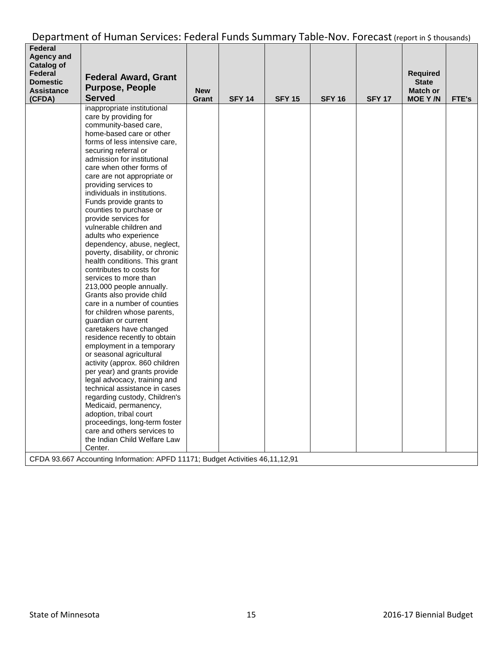| Federal<br>Agency and<br><b>Catalog of</b><br>Federal<br><b>Domestic</b><br><b>Assistance</b><br>(CFDA) | <b>Federal Award, Grant</b><br><b>Purpose, People</b><br><b>Served</b>                                                                                                                                                                                                                                                                                                                                                                                                                                                                                                                                                                                                                                                                                                                                                                                                                                                                                                                                                                                                                                                                                                                                                                                                                                | <b>New</b><br>Grant | <b>SFY 14</b> | <b>SFY 15</b> | <b>SFY 16</b> | <b>SFY 17</b> | <b>Required</b><br><b>State</b><br><b>Match or</b><br>MOE Y/N | FTE's |
|---------------------------------------------------------------------------------------------------------|-------------------------------------------------------------------------------------------------------------------------------------------------------------------------------------------------------------------------------------------------------------------------------------------------------------------------------------------------------------------------------------------------------------------------------------------------------------------------------------------------------------------------------------------------------------------------------------------------------------------------------------------------------------------------------------------------------------------------------------------------------------------------------------------------------------------------------------------------------------------------------------------------------------------------------------------------------------------------------------------------------------------------------------------------------------------------------------------------------------------------------------------------------------------------------------------------------------------------------------------------------------------------------------------------------|---------------------|---------------|---------------|---------------|---------------|---------------------------------------------------------------|-------|
|                                                                                                         | inappropriate institutional<br>care by providing for<br>community-based care,<br>home-based care or other<br>forms of less intensive care,<br>securing referral or<br>admission for institutional<br>care when other forms of<br>care are not appropriate or<br>providing services to<br>individuals in institutions.<br>Funds provide grants to<br>counties to purchase or<br>provide services for<br>vulnerable children and<br>adults who experience<br>dependency, abuse, neglect,<br>poverty, disability, or chronic<br>health conditions. This grant<br>contributes to costs for<br>services to more than<br>213,000 people annually.<br>Grants also provide child<br>care in a number of counties<br>for children whose parents,<br>guardian or current<br>caretakers have changed<br>residence recently to obtain<br>employment in a temporary<br>or seasonal agricultural<br>activity (approx. 860 children<br>per year) and grants provide<br>legal advocacy, training and<br>technical assistance in cases<br>regarding custody, Children's<br>Medicaid, permanency,<br>adoption, tribal court<br>proceedings, long-term foster<br>care and others services to<br>the Indian Child Welfare Law<br>Center.<br>CFDA 93.667 Accounting Information: APFD 11171; Budget Activities 46,11,12,91 |                     |               |               |               |               |                                                               |       |
|                                                                                                         |                                                                                                                                                                                                                                                                                                                                                                                                                                                                                                                                                                                                                                                                                                                                                                                                                                                                                                                                                                                                                                                                                                                                                                                                                                                                                                       |                     |               |               |               |               |                                                               |       |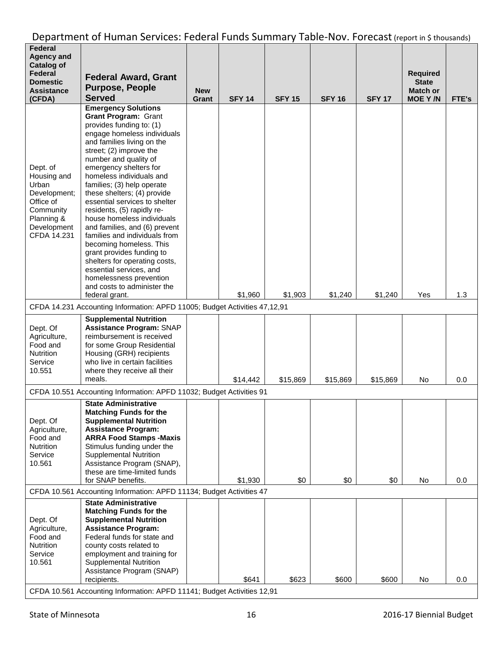| Federal<br><b>Agency and</b><br><b>Catalog of</b><br>Federal<br>Domestic<br><b>Assistance</b><br>(CFDA)                | <b>Federal Award, Grant</b><br><b>Purpose, People</b><br><b>Served</b>                                                                                                                                                                                                                                                                                                                                                                                                                                                                                                                                                                                                                   | <b>New</b><br>Grant | <b>SFY 14</b> | <b>SFY 15</b> | <b>SFY 16</b> | <b>SFY 17</b> | <b>Required</b><br><b>State</b><br><b>Match or</b><br><b>MOE Y/N</b> | FTE's |
|------------------------------------------------------------------------------------------------------------------------|------------------------------------------------------------------------------------------------------------------------------------------------------------------------------------------------------------------------------------------------------------------------------------------------------------------------------------------------------------------------------------------------------------------------------------------------------------------------------------------------------------------------------------------------------------------------------------------------------------------------------------------------------------------------------------------|---------------------|---------------|---------------|---------------|---------------|----------------------------------------------------------------------|-------|
| Dept. of<br>Housing and<br>Urban<br>Development;<br>Office of<br>Community<br>Planning &<br>Development<br>CFDA 14.231 | <b>Emergency Solutions</b><br><b>Grant Program: Grant</b><br>provides funding to: (1)<br>engage homeless individuals<br>and families living on the<br>street; (2) improve the<br>number and quality of<br>emergency shelters for<br>homeless individuals and<br>families; (3) help operate<br>these shelters; (4) provide<br>essential services to shelter<br>residents, (5) rapidly re-<br>house homeless individuals<br>and families, and (6) prevent<br>families and individuals from<br>becoming homeless. This<br>grant provides funding to<br>shelters for operating costs,<br>essential services, and<br>homelessness prevention<br>and costs to administer the<br>federal grant. |                     | \$1,960       | \$1,903       | \$1,240       | \$1,240       | Yes                                                                  | 1.3   |
|                                                                                                                        | CFDA 14.231 Accounting Information: APFD 11005; Budget Activities 47,12,91                                                                                                                                                                                                                                                                                                                                                                                                                                                                                                                                                                                                               |                     |               |               |               |               |                                                                      |       |
| Dept. Of<br>Agriculture,<br>Food and<br><b>Nutrition</b><br>Service<br>10.551                                          | <b>Supplemental Nutrition</b><br><b>Assistance Program: SNAP</b><br>reimbursement is received<br>for some Group Residential<br>Housing (GRH) recipients<br>who live in certain facilities<br>where they receive all their<br>meals.                                                                                                                                                                                                                                                                                                                                                                                                                                                      |                     | \$14,442      | \$15,869      | \$15,869      | \$15,869      | No                                                                   | 0.0   |
|                                                                                                                        | CFDA 10.551 Accounting Information: APFD 11032; Budget Activities 91                                                                                                                                                                                                                                                                                                                                                                                                                                                                                                                                                                                                                     |                     |               |               |               |               |                                                                      |       |
| Dept. Of<br>Agriculture,<br>Food and<br>Nutrition<br>Service<br>10.561                                                 | <b>State Administrative</b><br><b>Matching Funds for the</b><br><b>Supplemental Nutrition</b><br><b>Assistance Program:</b><br><b>ARRA Food Stamps -Maxis</b><br>Stimulus funding under the<br><b>Supplemental Nutrition</b><br>Assistance Program (SNAP),<br>these are time-limited funds<br>for SNAP benefits.                                                                                                                                                                                                                                                                                                                                                                         |                     | \$1,930       | \$0           | \$0           | \$0           | No                                                                   | 0.0   |
|                                                                                                                        | CFDA 10.561 Accounting Information: APFD 11134; Budget Activities 47                                                                                                                                                                                                                                                                                                                                                                                                                                                                                                                                                                                                                     |                     |               |               |               |               |                                                                      |       |
| Dept. Of<br>Agriculture,<br>Food and<br><b>Nutrition</b><br>Service<br>10.561                                          | <b>State Administrative</b><br><b>Matching Funds for the</b><br><b>Supplemental Nutrition</b><br><b>Assistance Program:</b><br>Federal funds for state and<br>county costs related to<br>employment and training for<br><b>Supplemental Nutrition</b><br>Assistance Program (SNAP)<br>recipients.                                                                                                                                                                                                                                                                                                                                                                                        |                     | \$641         | \$623         | \$600         | \$600         | No                                                                   | 0.0   |
|                                                                                                                        | CFDA 10.561 Accounting Information: APFD 11141; Budget Activities 12,91                                                                                                                                                                                                                                                                                                                                                                                                                                                                                                                                                                                                                  |                     |               |               |               |               |                                                                      |       |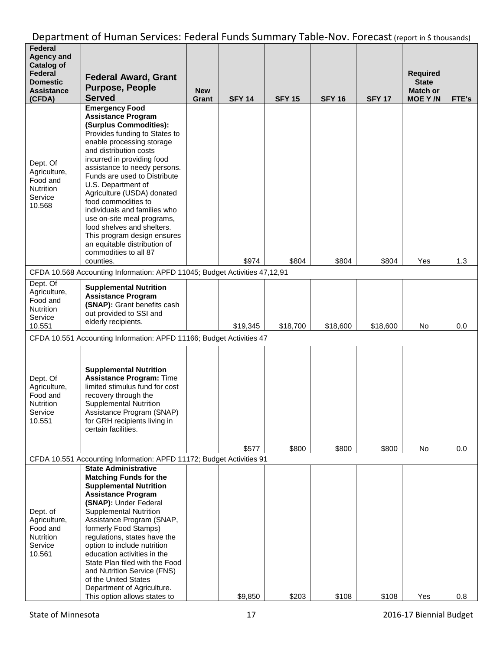| Federal<br><b>Agency and</b><br><b>Catalog of</b><br>Federal<br><b>Domestic</b><br><b>Assistance</b><br>(CFDA) | <b>Federal Award, Grant</b><br><b>Purpose, People</b><br><b>Served</b>                                                                                                                                                                                                                                                                                                                                                                                                                                                                         | <b>New</b><br>Grant | <b>SFY 14</b> | <b>SFY 15</b> | <b>SFY 16</b> | <b>SFY 17</b> | <b>Required</b><br><b>State</b><br><b>Match or</b><br><b>MOE Y/N</b> | FTE's |
|----------------------------------------------------------------------------------------------------------------|------------------------------------------------------------------------------------------------------------------------------------------------------------------------------------------------------------------------------------------------------------------------------------------------------------------------------------------------------------------------------------------------------------------------------------------------------------------------------------------------------------------------------------------------|---------------------|---------------|---------------|---------------|---------------|----------------------------------------------------------------------|-------|
| Dept. Of<br>Agriculture,<br>Food and<br><b>Nutrition</b><br>Service<br>10.568                                  | <b>Emergency Food</b><br><b>Assistance Program</b><br>(Surplus Commodities):<br>Provides funding to States to<br>enable processing storage<br>and distribution costs<br>incurred in providing food<br>assistance to needy persons.<br>Funds are used to Distribute<br>U.S. Department of<br>Agriculture (USDA) donated<br>food commodities to<br>individuals and families who<br>use on-site meal programs,<br>food shelves and shelters.<br>This program design ensures<br>an equitable distribution of<br>commodities to all 87<br>counties. |                     | \$974         | \$804         | \$804         | \$804         | Yes                                                                  | 1.3   |
|                                                                                                                | CFDA 10.568 Accounting Information: APFD 11045; Budget Activities 47,12,91                                                                                                                                                                                                                                                                                                                                                                                                                                                                     |                     |               |               |               |               |                                                                      |       |
| Dept. Of<br>Agriculture,<br>Food and<br><b>Nutrition</b><br>Service<br>10.551                                  | <b>Supplemental Nutrition</b><br><b>Assistance Program</b><br>(SNAP): Grant benefits cash<br>out provided to SSI and<br>elderly recipients.                                                                                                                                                                                                                                                                                                                                                                                                    |                     | \$19,345      | \$18,700      | \$18,600      | \$18,600      | No                                                                   | 0.0   |
|                                                                                                                | CFDA 10.551 Accounting Information: APFD 11166; Budget Activities 47                                                                                                                                                                                                                                                                                                                                                                                                                                                                           |                     |               |               |               |               |                                                                      |       |
| Dept. Of<br>Agriculture,<br>Food and<br><b>Nutrition</b><br>Service<br>10.551                                  | <b>Supplemental Nutrition</b><br><b>Assistance Program: Time</b><br>limited stimulus fund for cost<br>recovery through the<br><b>Supplemental Nutrition</b><br>Assistance Program (SNAP)<br>for GRH recipients living in<br>certain facilities.                                                                                                                                                                                                                                                                                                |                     |               |               |               |               |                                                                      |       |
|                                                                                                                |                                                                                                                                                                                                                                                                                                                                                                                                                                                                                                                                                |                     | \$577         | \$800         | \$800         | \$800         | No                                                                   | 0.0   |
|                                                                                                                | CFDA 10.551 Accounting Information: APFD 11172; Budget Activities 91<br><b>State Administrative</b>                                                                                                                                                                                                                                                                                                                                                                                                                                            |                     |               |               |               |               |                                                                      |       |
| Dept. of<br>Agriculture,<br>Food and<br>Nutrition<br>Service<br>10.561                                         | <b>Matching Funds for the</b><br><b>Supplemental Nutrition</b><br><b>Assistance Program</b><br>(SNAP): Under Federal<br><b>Supplemental Nutrition</b><br>Assistance Program (SNAP,<br>formerly Food Stamps)<br>regulations, states have the<br>option to include nutrition<br>education activities in the<br>State Plan filed with the Food<br>and Nutrition Service (FNS)<br>of the United States<br>Department of Agriculture.<br>This option allows states to                                                                               |                     | \$9,850       | \$203         | \$108         | \$108         | Yes                                                                  | 0.8   |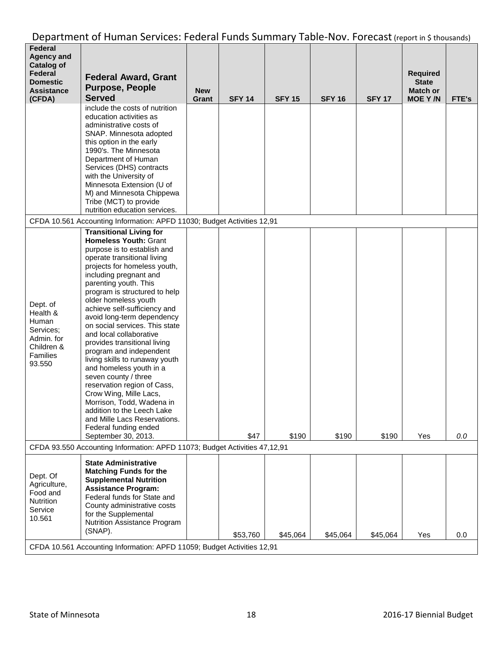| Federal<br><b>Agency and</b><br><b>Catalog of</b><br>Federal<br><b>Domestic</b><br><b>Assistance</b><br>(CFDA) | <b>Federal Award, Grant</b><br><b>Purpose, People</b><br><b>Served</b>                                                                                                                                                                                                                                                                                                                                                                                                                                                                                                                                                                                                                                                                                  | <b>New</b><br>Grant | <b>SFY 14</b> | <b>SFY 15</b> | <b>SFY 16</b> | <b>SFY 17</b> | <b>Required</b><br><b>State</b><br><b>Match or</b><br><b>MOE Y/N</b> | FTE's   |
|----------------------------------------------------------------------------------------------------------------|---------------------------------------------------------------------------------------------------------------------------------------------------------------------------------------------------------------------------------------------------------------------------------------------------------------------------------------------------------------------------------------------------------------------------------------------------------------------------------------------------------------------------------------------------------------------------------------------------------------------------------------------------------------------------------------------------------------------------------------------------------|---------------------|---------------|---------------|---------------|---------------|----------------------------------------------------------------------|---------|
|                                                                                                                | include the costs of nutrition<br>education activities as<br>administrative costs of<br>SNAP. Minnesota adopted<br>this option in the early<br>1990's. The Minnesota<br>Department of Human<br>Services (DHS) contracts<br>with the University of<br>Minnesota Extension (U of<br>M) and Minnesota Chippewa<br>Tribe (MCT) to provide<br>nutrition education services.                                                                                                                                                                                                                                                                                                                                                                                  |                     |               |               |               |               |                                                                      |         |
|                                                                                                                | CFDA 10.561 Accounting Information: APFD 11030; Budget Activities 12,91                                                                                                                                                                                                                                                                                                                                                                                                                                                                                                                                                                                                                                                                                 |                     |               |               |               |               |                                                                      |         |
| Dept. of<br>Health &<br>Human<br>Services:<br>Admin. for<br>Children &<br><b>Families</b><br>93.550            | <b>Transitional Living for</b><br><b>Homeless Youth: Grant</b><br>purpose is to establish and<br>operate transitional living<br>projects for homeless youth,<br>including pregnant and<br>parenting youth. This<br>program is structured to help<br>older homeless youth<br>achieve self-sufficiency and<br>avoid long-term dependency<br>on social services. This state<br>and local collaborative<br>provides transitional living<br>program and independent<br>living skills to runaway youth<br>and homeless youth in a<br>seven county / three<br>reservation region of Cass,<br>Crow Wing, Mille Lacs,<br>Morrison, Todd, Wadena in<br>addition to the Leech Lake<br>and Mille Lacs Reservations.<br>Federal funding ended<br>September 30, 2013. |                     | \$47          | \$190         | \$190         | \$190         | Yes                                                                  | $0.0\,$ |
|                                                                                                                | CFDA 93.550 Accounting Information: APFD 11073; Budget Activities 47,12,91                                                                                                                                                                                                                                                                                                                                                                                                                                                                                                                                                                                                                                                                              |                     |               |               |               |               |                                                                      |         |
| Dept. Of<br>Agriculture,<br>Food and<br>Nutrition<br>Service<br>10.561                                         | <b>State Administrative</b><br><b>Matching Funds for the</b><br><b>Supplemental Nutrition</b><br><b>Assistance Program:</b><br>Federal funds for State and<br>County administrative costs<br>for the Supplemental<br>Nutrition Assistance Program<br>(SNAP).                                                                                                                                                                                                                                                                                                                                                                                                                                                                                            |                     |               |               |               |               |                                                                      |         |
|                                                                                                                | CFDA 10.561 Accounting Information: APFD 11059; Budget Activities 12,91                                                                                                                                                                                                                                                                                                                                                                                                                                                                                                                                                                                                                                                                                 |                     | \$53,760      | \$45,064      | \$45,064      | \$45,064      | Yes                                                                  | 0.0     |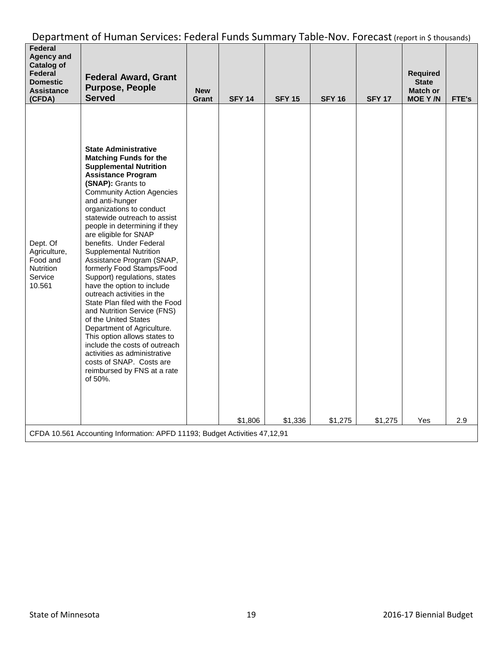| Federal<br><b>Agency and</b><br><b>Catalog of</b><br><b>Federal</b><br><b>Domestic</b><br><b>Assistance</b><br>(CFDA) | <b>Federal Award, Grant</b><br><b>Purpose, People</b><br><b>Served</b>                                                                                                                                                                                                                                                                                                                                                                                                                                                                                                                                                                                                                                                                                                                                                                       | <b>New</b><br>Grant | <b>SFY 14</b> | <b>SFY 15</b> | <b>SFY 16</b> | <b>SFY 17</b> | <b>Required</b><br><b>State</b><br><b>Match or</b><br><b>MOE Y/N</b> | FTE's |
|-----------------------------------------------------------------------------------------------------------------------|----------------------------------------------------------------------------------------------------------------------------------------------------------------------------------------------------------------------------------------------------------------------------------------------------------------------------------------------------------------------------------------------------------------------------------------------------------------------------------------------------------------------------------------------------------------------------------------------------------------------------------------------------------------------------------------------------------------------------------------------------------------------------------------------------------------------------------------------|---------------------|---------------|---------------|---------------|---------------|----------------------------------------------------------------------|-------|
| Dept. Of<br>Agriculture,<br>Food and<br><b>Nutrition</b><br>Service<br>10.561                                         | <b>State Administrative</b><br><b>Matching Funds for the</b><br><b>Supplemental Nutrition</b><br><b>Assistance Program</b><br>(SNAP): Grants to<br><b>Community Action Agencies</b><br>and anti-hunger<br>organizations to conduct<br>statewide outreach to assist<br>people in determining if they<br>are eligible for SNAP<br>benefits. Under Federal<br><b>Supplemental Nutrition</b><br>Assistance Program (SNAP,<br>formerly Food Stamps/Food<br>Support) regulations, states<br>have the option to include<br>outreach activities in the<br>State Plan filed with the Food<br>and Nutrition Service (FNS)<br>of the United States<br>Department of Agriculture.<br>This option allows states to<br>include the costs of outreach<br>activities as administrative<br>costs of SNAP. Costs are<br>reimbursed by FNS at a rate<br>of 50%. |                     | \$1,806       | \$1,336       | \$1,275       | \$1,275       | Yes                                                                  | 2.9   |
|                                                                                                                       | CFDA 10.561 Accounting Information: APFD 11193; Budget Activities 47,12,91                                                                                                                                                                                                                                                                                                                                                                                                                                                                                                                                                                                                                                                                                                                                                                   |                     |               |               |               |               |                                                                      |       |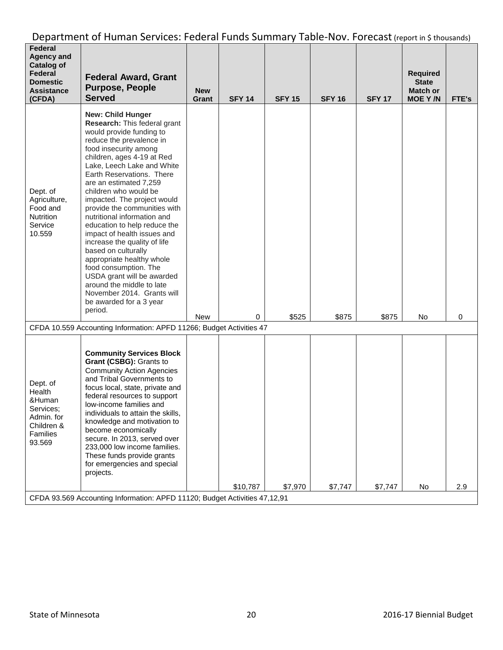| <b>Federal</b><br><b>Agency and</b><br><b>Catalog of</b><br><b>Federal</b><br><b>Domestic</b><br><b>Assistance</b><br>(CFDA) | <b>Federal Award, Grant</b><br><b>Purpose, People</b><br><b>Served</b>                                                                                                                                                                                                                                                                                                                                                                                                                                                                                                                                                                                                                         | <b>New</b><br>Grant | <b>SFY 14</b> | <b>SFY 15</b> | <b>SFY 16</b> | <b>SFY 17</b> | <b>Required</b><br><b>State</b><br>Match or<br><b>MOE Y/N</b> | FTE's |
|------------------------------------------------------------------------------------------------------------------------------|------------------------------------------------------------------------------------------------------------------------------------------------------------------------------------------------------------------------------------------------------------------------------------------------------------------------------------------------------------------------------------------------------------------------------------------------------------------------------------------------------------------------------------------------------------------------------------------------------------------------------------------------------------------------------------------------|---------------------|---------------|---------------|---------------|---------------|---------------------------------------------------------------|-------|
| Dept. of<br>Agriculture,<br>Food and<br><b>Nutrition</b><br>Service<br>10.559                                                | <b>New: Child Hunger</b><br>Research: This federal grant<br>would provide funding to<br>reduce the prevalence in<br>food insecurity among<br>children, ages 4-19 at Red<br>Lake, Leech Lake and White<br>Earth Reservations. There<br>are an estimated 7,259<br>children who would be<br>impacted. The project would<br>provide the communities with<br>nutritional information and<br>education to help reduce the<br>impact of health issues and<br>increase the quality of life<br>based on culturally<br>appropriate healthy whole<br>food consumption. The<br>USDA grant will be awarded<br>around the middle to late<br>November 2014. Grants will<br>be awarded for a 3 year<br>period. | New                 | 0             | \$525         | \$875         | \$875         | No                                                            | 0     |
|                                                                                                                              | CFDA 10.559 Accounting Information: APFD 11266; Budget Activities 47                                                                                                                                                                                                                                                                                                                                                                                                                                                                                                                                                                                                                           |                     |               |               |               |               |                                                               |       |
| Dept. of<br>Health<br>&Human<br>Services;<br>Admin. for<br>Children &<br>Families<br>93.569                                  | <b>Community Services Block</b><br>Grant (CSBG): Grants to<br><b>Community Action Agencies</b><br>and Tribal Governments to<br>focus local, state, private and<br>federal resources to support<br>low-income families and<br>individuals to attain the skills,<br>knowledge and motivation to<br>become economically<br>secure. In 2013, served over<br>233,000 low income families.<br>These funds provide grants<br>for emergencies and special<br>projects.                                                                                                                                                                                                                                 |                     | \$10,787      | \$7,970       | \$7,747       | \$7,747       | No                                                            | 2.9   |
|                                                                                                                              | CFDA 93.569 Accounting Information: APFD 11120; Budget Activities 47,12,91                                                                                                                                                                                                                                                                                                                                                                                                                                                                                                                                                                                                                     |                     |               |               |               |               |                                                               |       |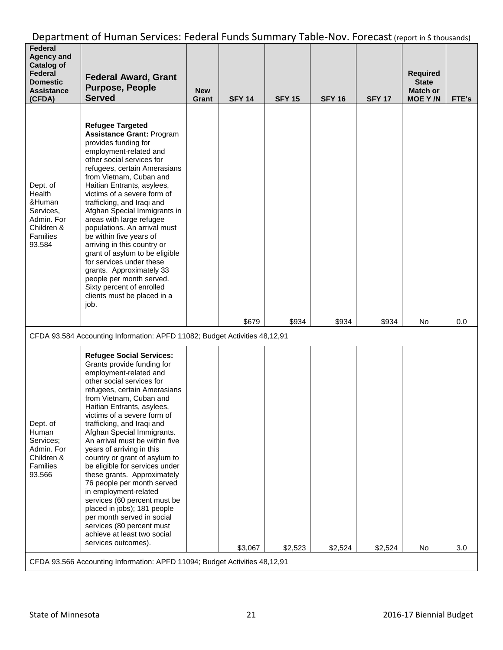| Federal<br><b>Agency and</b><br><b>Catalog of</b><br>Federal<br><b>Domestic</b><br><b>Assistance</b><br>(CFDA) | <b>Federal Award, Grant</b><br><b>Purpose, People</b><br><b>Served</b>                                                                                                                                                                                                                                                                                                                                                                                                                                                                                                                                                                                                                                                                                                                                                                                                       | <b>New</b><br>Grant | <b>SFY 14</b> | <b>SFY 15</b> | <b>SFY 16</b> | <b>SFY 17</b> | <b>Required</b><br><b>State</b><br><b>Match or</b><br><b>MOE Y/N</b> | FTE's |
|----------------------------------------------------------------------------------------------------------------|------------------------------------------------------------------------------------------------------------------------------------------------------------------------------------------------------------------------------------------------------------------------------------------------------------------------------------------------------------------------------------------------------------------------------------------------------------------------------------------------------------------------------------------------------------------------------------------------------------------------------------------------------------------------------------------------------------------------------------------------------------------------------------------------------------------------------------------------------------------------------|---------------------|---------------|---------------|---------------|---------------|----------------------------------------------------------------------|-------|
| Dept. of<br>Health<br>&Human<br>Services,<br>Admin, For<br>Children &<br><b>Families</b><br>93.584             | <b>Refugee Targeted</b><br><b>Assistance Grant: Program</b><br>provides funding for<br>employment-related and<br>other social services for<br>refugees, certain Amerasians<br>from Vietnam, Cuban and<br>Haitian Entrants, asylees,<br>victims of a severe form of<br>trafficking, and Iraqi and<br>Afghan Special Immigrants in<br>areas with large refugee<br>populations. An arrival must<br>be within five years of<br>arriving in this country or<br>grant of asylum to be eligible<br>for services under these<br>grants. Approximately 33<br>people per month served.<br>Sixty percent of enrolled<br>clients must be placed in a<br>job.                                                                                                                                                                                                                             |                     |               |               |               |               |                                                                      |       |
|                                                                                                                |                                                                                                                                                                                                                                                                                                                                                                                                                                                                                                                                                                                                                                                                                                                                                                                                                                                                              |                     | \$679         | \$934         | \$934         | \$934         | No                                                                   | 0.0   |
| Dept. of<br>Human<br>Services;<br>Admin. For<br>Children &<br>Families<br>93.566                               | CFDA 93.584 Accounting Information: APFD 11082; Budget Activities 48,12,91<br><b>Refugee Social Services:</b><br>Grants provide funding for<br>employment-related and<br>other social services for<br>refugees, certain Amerasians<br>from Vietnam, Cuban and<br>Haitian Entrants, asylees,<br>victims of a severe form of<br>trafficking, and Iraqi and<br>Afghan Special Immigrants.<br>An arrival must be within five<br>years of arriving in this<br>country or grant of asylum to<br>be eligible for services under<br>these grants. Approximately<br>76 people per month served<br>in employment-related<br>services (60 percent must be<br>placed in jobs); 181 people<br>per month served in social<br>services (80 percent must<br>achieve at least two social<br>services outcomes).<br>CFDA 93.566 Accounting Information: APFD 11094; Budget Activities 48,12,91 |                     | \$3,067       | \$2,523       | \$2,524       | \$2,524       | No                                                                   | 3.0   |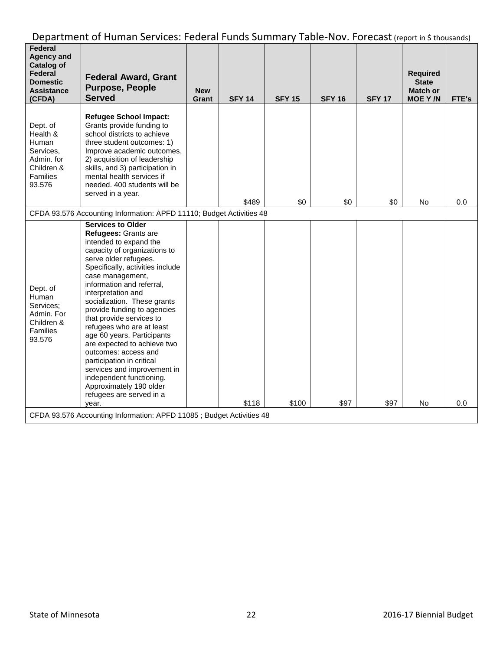| Federal<br><b>Agency and</b><br><b>Catalog of</b><br>Federal<br><b>Domestic</b><br><b>Assistance</b><br>(CFDA) | <b>Federal Award, Grant</b><br><b>Purpose, People</b><br><b>Served</b>                                                                                                                                                                                                                                                                                                                                                                                                                                                                                                                                             | <b>New</b><br>Grant | <b>SFY 14</b> | <b>SFY 15</b> | <b>SFY 16</b> | <b>SFY 17</b> | <b>Required</b><br><b>State</b><br><b>Match or</b><br><b>MOE Y/N</b> | FTE's |  |  |
|----------------------------------------------------------------------------------------------------------------|--------------------------------------------------------------------------------------------------------------------------------------------------------------------------------------------------------------------------------------------------------------------------------------------------------------------------------------------------------------------------------------------------------------------------------------------------------------------------------------------------------------------------------------------------------------------------------------------------------------------|---------------------|---------------|---------------|---------------|---------------|----------------------------------------------------------------------|-------|--|--|
| Dept. of<br>Health &<br>Human<br>Services,<br>Admin. for<br>Children &<br>Families<br>93.576                   | <b>Refugee School Impact:</b><br>Grants provide funding to<br>school districts to achieve<br>three student outcomes: 1)<br>Improve academic outcomes,<br>2) acquisition of leadership<br>skills, and 3) participation in<br>mental health services if<br>needed. 400 students will be<br>served in a year.                                                                                                                                                                                                                                                                                                         |                     | \$489         | \$0           | \$0           | \$0           | No                                                                   | 0.0   |  |  |
| CFDA 93.576 Accounting Information: APFD 11110; Budget Activities 48                                           |                                                                                                                                                                                                                                                                                                                                                                                                                                                                                                                                                                                                                    |                     |               |               |               |               |                                                                      |       |  |  |
| Dept. of<br>Human<br>Services;<br>Admin. For<br>Children &<br>Families<br>93.576                               | <b>Services to Older</b><br>Refugees: Grants are<br>intended to expand the<br>capacity of organizations to<br>serve older refugees.<br>Specifically, activities include<br>case management,<br>information and referral,<br>interpretation and<br>socialization. These grants<br>provide funding to agencies<br>that provide services to<br>refugees who are at least<br>age 60 years. Participants<br>are expected to achieve two<br>outcomes: access and<br>participation in critical<br>services and improvement in<br>independent functioning.<br>Approximately 190 older<br>refugees are served in a<br>year. |                     | \$118         | \$100         | \$97          | \$97          | No                                                                   | 0.0   |  |  |
|                                                                                                                | CFDA 93.576 Accounting Information: APFD 11085; Budget Activities 48                                                                                                                                                                                                                                                                                                                                                                                                                                                                                                                                               |                     |               |               |               |               |                                                                      |       |  |  |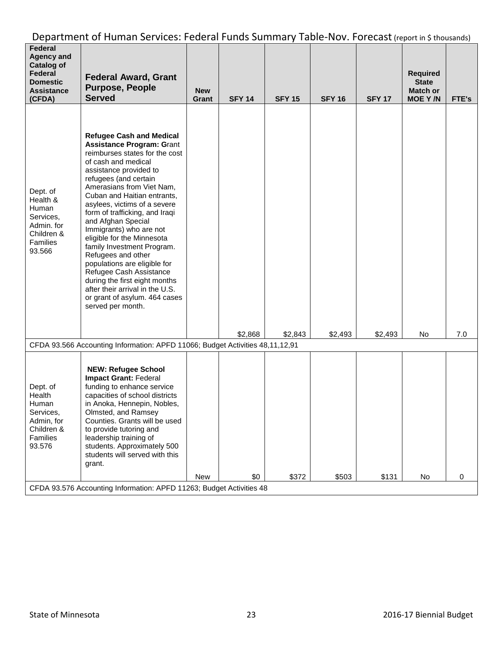| Federal<br><b>Agency and</b><br><b>Catalog of</b><br>Federal<br><b>Domestic</b><br><b>Assistance</b><br>(CFDA) | <b>Federal Award, Grant</b><br><b>Purpose, People</b><br><b>Served</b>                                                                                                                                                                                                                                                                                                                                                                                                                                                                                                                                                                | <b>New</b><br>Grant | <b>SFY 14</b> | <b>SFY 15</b> | <b>SFY 16</b> | <b>SFY 17</b> | <b>Required</b><br><b>State</b><br><b>Match or</b><br><b>MOE Y/N</b> | FTE's |
|----------------------------------------------------------------------------------------------------------------|---------------------------------------------------------------------------------------------------------------------------------------------------------------------------------------------------------------------------------------------------------------------------------------------------------------------------------------------------------------------------------------------------------------------------------------------------------------------------------------------------------------------------------------------------------------------------------------------------------------------------------------|---------------------|---------------|---------------|---------------|---------------|----------------------------------------------------------------------|-------|
| Dept. of<br>Health &<br>Human<br>Services,<br>Admin. for<br>Children &<br>Families<br>93.566                   | <b>Refugee Cash and Medical</b><br><b>Assistance Program: Grant</b><br>reimburses states for the cost<br>of cash and medical<br>assistance provided to<br>refugees (and certain<br>Amerasians from Viet Nam,<br>Cuban and Haitian entrants,<br>asylees, victims of a severe<br>form of trafficking, and Iraqi<br>and Afghan Special<br>Immigrants) who are not<br>eligible for the Minnesota<br>family Investment Program.<br>Refugees and other<br>populations are eligible for<br>Refugee Cash Assistance<br>during the first eight months<br>after their arrival in the U.S.<br>or grant of asylum. 464 cases<br>served per month. |                     |               |               |               |               |                                                                      |       |
|                                                                                                                | CFDA 93.566 Accounting Information: APFD 11066; Budget Activities 48,11,12,91                                                                                                                                                                                                                                                                                                                                                                                                                                                                                                                                                         |                     | \$2,868       | \$2,843       | \$2,493       | \$2,493       | No                                                                   | 7.0   |
| Dept. of<br>Health<br>Human<br>Services,<br>Admin, for<br>Children &<br>Families<br>93.576                     | <b>NEW: Refugee School</b><br>Impact Grant: Federal<br>funding to enhance service<br>capacities of school districts<br>in Anoka, Hennepin, Nobles,<br>Olmsted, and Ramsey<br>Counties. Grants will be used<br>to provide tutoring and<br>leadership training of<br>students. Approximately 500<br>students will served with this<br>grant.                                                                                                                                                                                                                                                                                            |                     |               |               |               |               |                                                                      |       |
|                                                                                                                | CFDA 93.576 Accounting Information: APFD 11263; Budget Activities 48                                                                                                                                                                                                                                                                                                                                                                                                                                                                                                                                                                  | <b>New</b>          | \$0           | \$372         | \$503         | \$131         | No                                                                   | 0     |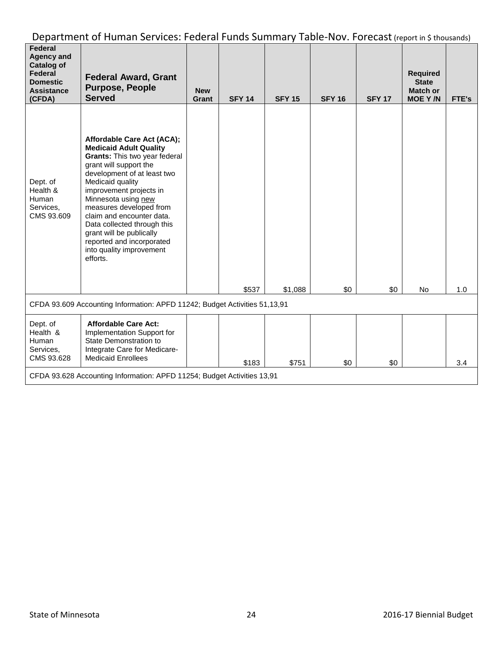| Federal<br><b>Agency and</b><br><b>Catalog of</b><br>Federal<br><b>Domestic</b><br><b>Assistance</b><br>(CFDA) | <b>Federal Award, Grant</b><br><b>Purpose, People</b><br><b>Served</b>                                                                                                                                                                                                                                                                                                                                              | <b>New</b><br>Grant | <b>SFY 14</b> | <b>SFY 15</b> | <b>SFY 16</b> | <b>SFY 17</b> | <b>Required</b><br><b>State</b><br>Match or<br><b>MOE Y/N</b> | FTE's |  |
|----------------------------------------------------------------------------------------------------------------|---------------------------------------------------------------------------------------------------------------------------------------------------------------------------------------------------------------------------------------------------------------------------------------------------------------------------------------------------------------------------------------------------------------------|---------------------|---------------|---------------|---------------|---------------|---------------------------------------------------------------|-------|--|
| Dept. of<br>Health &<br>Human<br>Services,<br>CMS 93.609                                                       | Affordable Care Act (ACA);<br><b>Medicaid Adult Quality</b><br>Grants: This two year federal<br>grant will support the<br>development of at least two<br>Medicaid quality<br>improvement projects in<br>Minnesota using new<br>measures developed from<br>claim and encounter data.<br>Data collected through this<br>grant will be publically<br>reported and incorporated<br>into quality improvement<br>efforts. |                     |               |               |               |               |                                                               |       |  |
|                                                                                                                |                                                                                                                                                                                                                                                                                                                                                                                                                     |                     | \$537         | \$1,088       | \$0           | \$0           | No                                                            | 1.0   |  |
| CFDA 93.609 Accounting Information: APFD 11242; Budget Activities 51,13,91                                     |                                                                                                                                                                                                                                                                                                                                                                                                                     |                     |               |               |               |               |                                                               |       |  |
| Dept. of<br>Health &<br>Human<br>Services,<br>CMS 93.628                                                       | <b>Affordable Care Act:</b><br>Implementation Support for<br>State Demonstration to<br>Integrate Care for Medicare-<br><b>Medicaid Enrollees</b>                                                                                                                                                                                                                                                                    |                     | \$183         | \$751         | \$0           | \$0           |                                                               | 3.4   |  |
| CFDA 93.628 Accounting Information: APFD 11254; Budget Activities 13,91                                        |                                                                                                                                                                                                                                                                                                                                                                                                                     |                     |               |               |               |               |                                                               |       |  |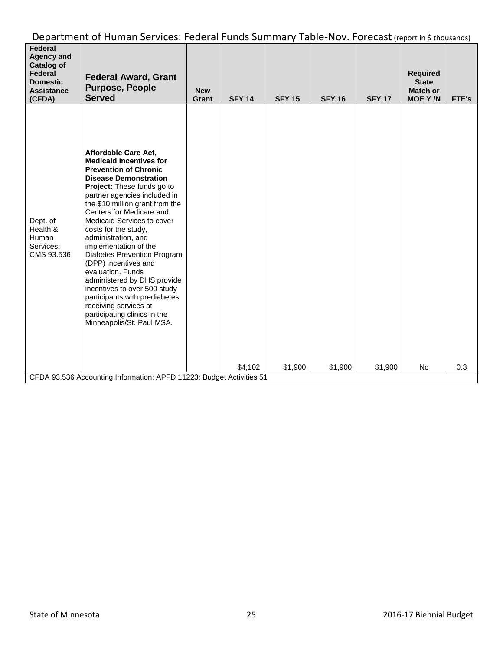| Federal<br><b>Agency and</b><br><b>Catalog of</b><br>Federal<br><b>Domestic</b><br><b>Assistance</b><br>(CFDA) | <b>Federal Award, Grant</b><br><b>Purpose, People</b><br><b>Served</b>                                                                                                                                                                                                                                                                                                                                                                                                                                                                                                                                                      | <b>New</b><br>Grant | <b>SFY 14</b> | <b>SFY 15</b> | <b>SFY 16</b> | <b>SFY 17</b> | <b>Required</b><br><b>State</b><br><b>Match or</b><br><b>MOE Y/N</b> | FTE's |
|----------------------------------------------------------------------------------------------------------------|-----------------------------------------------------------------------------------------------------------------------------------------------------------------------------------------------------------------------------------------------------------------------------------------------------------------------------------------------------------------------------------------------------------------------------------------------------------------------------------------------------------------------------------------------------------------------------------------------------------------------------|---------------------|---------------|---------------|---------------|---------------|----------------------------------------------------------------------|-------|
| Dept. of<br>Health &<br>Human<br>Services:<br>CMS 93.536                                                       | Affordable Care Act,<br><b>Medicaid Incentives for</b><br><b>Prevention of Chronic</b><br><b>Disease Demonstration</b><br>Project: These funds go to<br>partner agencies included in<br>the \$10 million grant from the<br>Centers for Medicare and<br>Medicaid Services to cover<br>costs for the study,<br>administration, and<br>implementation of the<br>Diabetes Prevention Program<br>(DPP) incentives and<br>evaluation. Funds<br>administered by DHS provide<br>incentives to over 500 study<br>participants with prediabetes<br>receiving services at<br>participating clinics in the<br>Minneapolis/St. Paul MSA. |                     | \$4,102       | \$1,900       | \$1,900       | \$1,900       | No                                                                   | 0.3   |
|                                                                                                                | CFDA 93.536 Accounting Information: APFD 11223; Budget Activities 51                                                                                                                                                                                                                                                                                                                                                                                                                                                                                                                                                        |                     |               |               |               |               |                                                                      |       |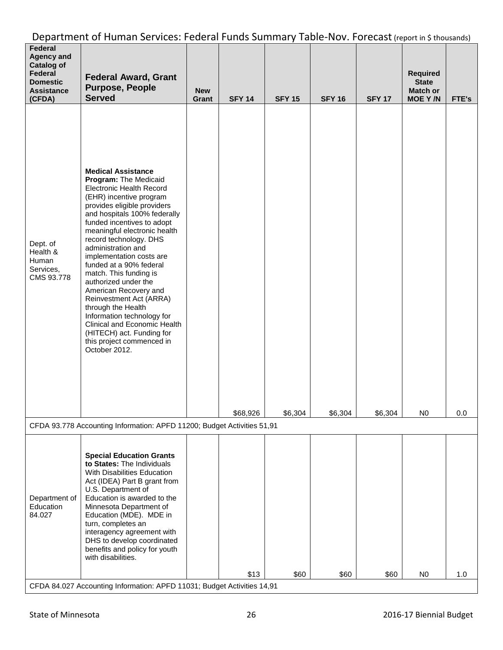| Federal<br><b>Agency and</b><br><b>Catalog of</b><br>Federal<br><b>Domestic</b><br><b>Assistance</b><br>(CFDA) | <b>Federal Award, Grant</b><br><b>Purpose, People</b><br><b>Served</b>                                                                                                                                                                                                                                                                                                                                                                                                                                                                                                                                                    | <b>New</b><br>Grant | <b>SFY 14</b> | <b>SFY 15</b> | <b>SFY 16</b> | <b>SFY 17</b> | Required<br><b>State</b><br><b>Match or</b><br><b>MOE Y/N</b> | FTE's |
|----------------------------------------------------------------------------------------------------------------|---------------------------------------------------------------------------------------------------------------------------------------------------------------------------------------------------------------------------------------------------------------------------------------------------------------------------------------------------------------------------------------------------------------------------------------------------------------------------------------------------------------------------------------------------------------------------------------------------------------------------|---------------------|---------------|---------------|---------------|---------------|---------------------------------------------------------------|-------|
| Dept. of<br>Health &<br>Human<br>Services,<br>CMS 93.778                                                       | <b>Medical Assistance</b><br>Program: The Medicaid<br><b>Electronic Health Record</b><br>(EHR) incentive program<br>provides eligible providers<br>and hospitals 100% federally<br>funded incentives to adopt<br>meaningful electronic health<br>record technology. DHS<br>administration and<br>implementation costs are<br>funded at a 90% federal<br>match. This funding is<br>authorized under the<br>American Recovery and<br>Reinvestment Act (ARRA)<br>through the Health<br>Information technology for<br>Clinical and Economic Health<br>(HITECH) act. Funding for<br>this project commenced in<br>October 2012. |                     | \$68,926      | \$6,304       | \$6,304       | \$6,304       | NΟ.                                                           | 0.0   |
|                                                                                                                | CFDA 93.778 Accounting Information: APFD 11200; Budget Activities 51,91                                                                                                                                                                                                                                                                                                                                                                                                                                                                                                                                                   |                     |               |               |               |               |                                                               |       |
| Department of<br>Education<br>84.027                                                                           | <b>Special Education Grants</b><br>to States: The Individuals<br>With Disabilities Education<br>Act (IDEA) Part B grant from<br>U.S. Department of<br>Education is awarded to the<br>Minnesota Department of<br>Education (MDE). MDE in<br>turn, completes an<br>interagency agreement with<br>DHS to develop coordinated<br>benefits and policy for youth<br>with disabilities.                                                                                                                                                                                                                                          |                     | \$13          | \$60          | \$60          | \$60          | N <sub>0</sub>                                                | 1.0   |
|                                                                                                                | CFDA 84.027 Accounting Information: APFD 11031; Budget Activities 14,91                                                                                                                                                                                                                                                                                                                                                                                                                                                                                                                                                   |                     |               |               |               |               |                                                               |       |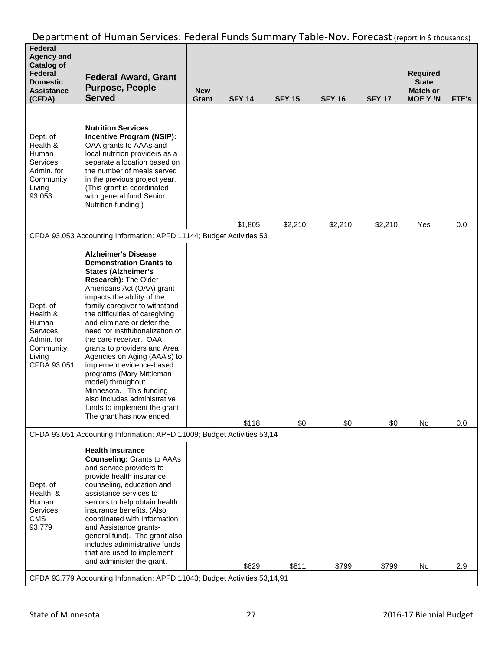| Federal<br><b>Agency and</b><br><b>Catalog of</b><br>Federal<br><b>Domestic</b><br><b>Assistance</b><br>(CFDA) | <b>Federal Award, Grant</b><br><b>Purpose, People</b><br><b>Served</b>                                                                                                                                                                                                                                                                                                                                                                                                                                                                                                                                            | <b>New</b><br>Grant | <b>SFY 14</b> | <b>SFY 15</b> | <b>SFY 16</b> | <b>SFY 17</b> | <b>Required</b><br><b>State</b><br><b>Match or</b><br><b>MOE Y/N</b> | FTE's |
|----------------------------------------------------------------------------------------------------------------|-------------------------------------------------------------------------------------------------------------------------------------------------------------------------------------------------------------------------------------------------------------------------------------------------------------------------------------------------------------------------------------------------------------------------------------------------------------------------------------------------------------------------------------------------------------------------------------------------------------------|---------------------|---------------|---------------|---------------|---------------|----------------------------------------------------------------------|-------|
| Dept. of<br>Health &<br>Human<br>Services,<br>Admin. for<br>Community<br>Living<br>93.053                      | <b>Nutrition Services</b><br>Incentive Program (NSIP):<br>OAA grants to AAAs and<br>local nutrition providers as a<br>separate allocation based on<br>the number of meals served<br>in the previous project year.<br>(This grant is coordinated<br>with general fund Senior<br>Nutrition funding)                                                                                                                                                                                                                                                                                                                 |                     |               |               |               |               |                                                                      |       |
|                                                                                                                | CFDA 93.053 Accounting Information: APFD 11144; Budget Activities 53                                                                                                                                                                                                                                                                                                                                                                                                                                                                                                                                              |                     | \$1,805       | \$2,210       | \$2,210       | \$2,210       | Yes                                                                  | 0.0   |
| Dept. of<br>Health &<br>Human<br>Services:<br>Admin. for<br>Community<br>Living<br>CFDA 93.051                 | <b>Alzheimer's Disease</b><br><b>Demonstration Grants to</b><br><b>States (Alzheimer's</b><br>Research): The Older<br>Americans Act (OAA) grant<br>impacts the ability of the<br>family caregiver to withstand<br>the difficulties of caregiving<br>and eliminate or defer the<br>need for institutionalization of<br>the care receiver. OAA<br>grants to providers and Area<br>Agencies on Aging (AAA's) to<br>implement evidence-based<br>programs (Mary Mittleman<br>model) throughout<br>Minnesota. This funding<br>also includes administrative<br>funds to implement the grant.<br>The grant has now ended. |                     | \$118         | \$0           | \$0           | \$0           | No                                                                   | 0.0   |
|                                                                                                                | CFDA 93.051 Accounting Information: APFD 11009; Budget Activities 53,14                                                                                                                                                                                                                                                                                                                                                                                                                                                                                                                                           |                     |               |               |               |               |                                                                      |       |
| Dept. of<br>Health &<br>Human<br>Services,<br><b>CMS</b><br>93.779                                             | <b>Health Insurance</b><br><b>Counseling: Grants to AAAs</b><br>and service providers to<br>provide health insurance<br>counseling, education and<br>assistance services to<br>seniors to help obtain health<br>insurance benefits. (Also<br>coordinated with Information<br>and Assistance grants-<br>general fund). The grant also<br>includes administrative funds<br>that are used to implement<br>and administer the grant.                                                                                                                                                                                  |                     | \$629         | \$811         | \$799         | \$799         | No                                                                   | 2.9   |
|                                                                                                                | CFDA 93.779 Accounting Information: APFD 11043; Budget Activities 53,14,91                                                                                                                                                                                                                                                                                                                                                                                                                                                                                                                                        |                     |               |               |               |               |                                                                      |       |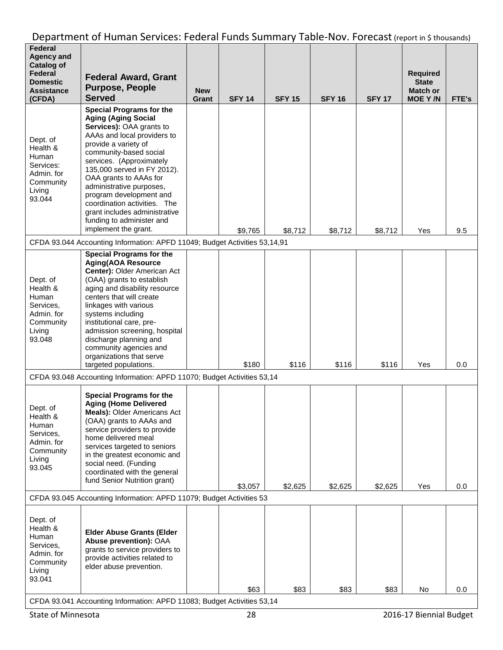| Federal<br><b>Agency and</b><br><b>Catalog of</b><br>Federal<br><b>Domestic</b><br><b>Assistance</b><br>(CFDA) | <b>Federal Award, Grant</b><br><b>Purpose, People</b><br><b>Served</b>                                                                                                                                                                                                                                                                                                                                                                              | <b>New</b><br>Grant | <b>SFY 14</b> | <b>SFY 15</b> | <b>SFY 16</b> | <b>SFY 17</b> | <b>Required</b><br><b>State</b><br><b>Match or</b><br><b>MOE Y/N</b> | FTE's |
|----------------------------------------------------------------------------------------------------------------|-----------------------------------------------------------------------------------------------------------------------------------------------------------------------------------------------------------------------------------------------------------------------------------------------------------------------------------------------------------------------------------------------------------------------------------------------------|---------------------|---------------|---------------|---------------|---------------|----------------------------------------------------------------------|-------|
| Dept. of<br>Health &<br>Human<br>Services:<br>Admin. for<br>Community<br>Living<br>93.044                      | <b>Special Programs for the</b><br><b>Aging (Aging Social</b><br><b>Services): OAA grants to</b><br>AAAs and local providers to<br>provide a variety of<br>community-based social<br>services. (Approximately<br>135,000 served in FY 2012).<br>OAA grants to AAAs for<br>administrative purposes,<br>program development and<br>coordination activities. The<br>grant includes administrative<br>funding to administer and<br>implement the grant. |                     | \$9,765       | \$8,712       | \$8,712       | \$8,712       | Yes                                                                  | 9.5   |
|                                                                                                                | CFDA 93.044 Accounting Information: APFD 11049; Budget Activities 53,14,91                                                                                                                                                                                                                                                                                                                                                                          |                     |               |               |               |               |                                                                      |       |
| Dept. of<br>Health &<br>Human<br>Services,<br>Admin. for<br>Community<br>Living<br>93.048                      | <b>Special Programs for the</b><br><b>Aging(AOA Resource</b><br>Center): Older American Act<br>(OAA) grants to establish<br>aging and disability resource<br>centers that will create<br>linkages with various<br>systems including<br>institutional care, pre-<br>admission screening, hospital<br>discharge planning and<br>community agencies and<br>organizations that serve<br>targeted populations.                                           |                     | \$180         | \$116         | \$116         | \$116         | Yes                                                                  | 0.0   |
|                                                                                                                | CFDA 93.048 Accounting Information: APFD 11070; Budget Activities 53,14                                                                                                                                                                                                                                                                                                                                                                             |                     |               |               |               |               |                                                                      |       |
| Dept. of<br>Health &<br>Human<br>Services,<br>Admin. for<br>Community<br>Living<br>93.045                      | <b>Special Programs for the</b><br><b>Aging (Home Delivered</b><br><b>Meals): Older Americans Act</b><br>(OAA) grants to AAAs and<br>service providers to provide<br>home delivered meal<br>services targeted to seniors<br>in the greatest economic and<br>social need. (Funding<br>coordinated with the general<br>fund Senior Nutrition grant)                                                                                                   |                     | \$3,057       | \$2,625       | \$2,625       | \$2,625       | Yes                                                                  | 0.0   |
|                                                                                                                | CFDA 93.045 Accounting Information: APFD 11079; Budget Activities 53                                                                                                                                                                                                                                                                                                                                                                                |                     |               |               |               |               |                                                                      |       |
| Dept. of<br>Health &<br>Human<br>Services,<br>Admin. for<br>Community<br>Living<br>93.041                      | <b>Elder Abuse Grants (Elder</b><br>Abuse prevention): OAA<br>grants to service providers to<br>provide activities related to<br>elder abuse prevention.                                                                                                                                                                                                                                                                                            |                     | \$63          | \$83          | \$83          | \$83          | No                                                                   | 0.0   |
|                                                                                                                | CFDA 93.041 Accounting Information: APFD 11083; Budget Activities 53,14                                                                                                                                                                                                                                                                                                                                                                             |                     |               |               |               |               |                                                                      |       |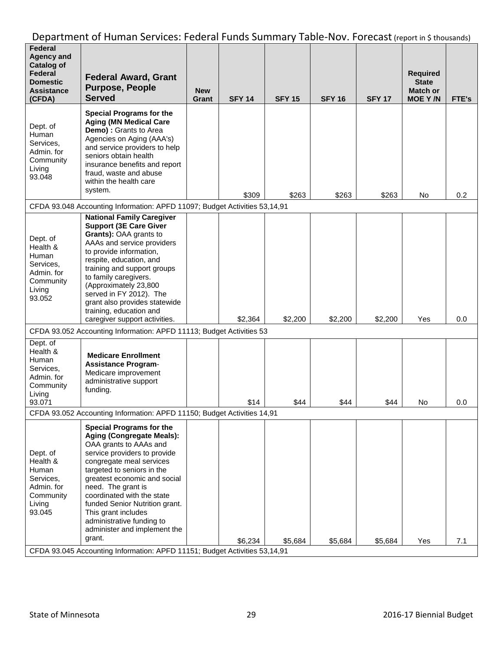| Federal<br><b>Agency and</b><br><b>Catalog of</b><br>Federal<br><b>Domestic</b><br><b>Assistance</b><br>(CFDA) | <b>Federal Award, Grant</b><br><b>Purpose, People</b><br><b>Served</b>                                                                                                                                                                                                                                                                                                                                      | <b>New</b><br>Grant | <b>SFY 14</b> | <b>SFY 15</b> | <b>SFY 16</b> | <b>SFY 17</b> | <b>Required</b><br><b>State</b><br><b>Match or</b><br><b>MOE Y/N</b> | FTE's |
|----------------------------------------------------------------------------------------------------------------|-------------------------------------------------------------------------------------------------------------------------------------------------------------------------------------------------------------------------------------------------------------------------------------------------------------------------------------------------------------------------------------------------------------|---------------------|---------------|---------------|---------------|---------------|----------------------------------------------------------------------|-------|
| Dept. of<br>Human<br>Services,<br>Admin. for<br>Community<br>Living<br>93.048                                  | <b>Special Programs for the</b><br><b>Aging (MN Medical Care</b><br>Demo) : Grants to Area<br>Agencies on Aging (AAA's)<br>and service providers to help<br>seniors obtain health<br>insurance benefits and report<br>fraud, waste and abuse<br>within the health care<br>system.                                                                                                                           |                     | \$309         | \$263         | \$263         | \$263         | No                                                                   | 0.2   |
|                                                                                                                | CFDA 93.048 Accounting Information: APFD 11097; Budget Activities 53,14,91                                                                                                                                                                                                                                                                                                                                  |                     |               |               |               |               |                                                                      |       |
| Dept. of<br>Health &<br>Human<br>Services,<br>Admin. for<br>Community<br>Living<br>93.052                      | <b>National Family Caregiver</b><br><b>Support (3E Care Giver</b><br>Grants): OAA grants to<br>AAAs and service providers<br>to provide information,<br>respite, education, and<br>training and support groups<br>to family caregivers.<br>(Approximately 23,800<br>served in FY 2012). The<br>grant also provides statewide<br>training, education and<br>caregiver support activities.                    |                     | \$2,364       | \$2,200       | \$2,200       | \$2,200       | Yes                                                                  | 0.0   |
|                                                                                                                | CFDA 93.052 Accounting Information: APFD 11113; Budget Activities 53                                                                                                                                                                                                                                                                                                                                        |                     |               |               |               |               |                                                                      |       |
| Dept. of<br>Health &<br>Human<br>Services,<br>Admin. for<br>Community<br>Living<br>93.071                      | <b>Medicare Enrollment</b><br><b>Assistance Program-</b><br>Medicare improvement<br>administrative support<br>funding.                                                                                                                                                                                                                                                                                      |                     | \$14          | \$44          | \$44          | \$44          | No                                                                   | 0.0   |
|                                                                                                                | CFDA 93.052 Accounting Information: APFD 11150; Budget Activities 14,91                                                                                                                                                                                                                                                                                                                                     |                     |               |               |               |               |                                                                      |       |
| Dept. of<br>Health &<br>Human<br>Services.<br>Admin. for<br>Community<br>Living<br>93.045                      | <b>Special Programs for the</b><br><b>Aging (Congregate Meals):</b><br>OAA grants to AAAs and<br>service providers to provide<br>congregate meal services<br>targeted to seniors in the<br>greatest economic and social<br>need. The grant is<br>coordinated with the state<br>funded Senior Nutrition grant.<br>This grant includes<br>administrative funding to<br>administer and implement the<br>grant. |                     | \$6,234       | \$5,684       | \$5,684       | \$5,684       | Yes                                                                  | 7.1   |
|                                                                                                                | CFDA 93.045 Accounting Information: APFD 11151; Budget Activities 53,14,91                                                                                                                                                                                                                                                                                                                                  |                     |               |               |               |               |                                                                      |       |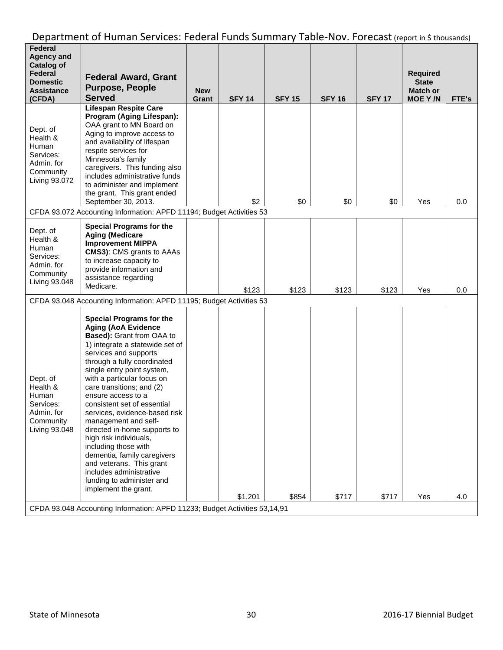| Federal<br><b>Agency and</b><br><b>Catalog of</b><br>Federal<br>Domestic<br><b>Assistance</b><br>(CFDA) | <b>Federal Award, Grant</b><br><b>Purpose, People</b><br><b>Served</b>                                                                                                                                                                                                                                                                                                                                                                                                                                                                                                                                                    | <b>New</b><br>Grant | <b>SFY 14</b> | <b>SFY 15</b> | <b>SFY 16</b> | <b>SFY 17</b> | <b>Required</b><br><b>State</b><br><b>Match or</b><br><b>MOE Y/N</b> | FTE's |
|---------------------------------------------------------------------------------------------------------|---------------------------------------------------------------------------------------------------------------------------------------------------------------------------------------------------------------------------------------------------------------------------------------------------------------------------------------------------------------------------------------------------------------------------------------------------------------------------------------------------------------------------------------------------------------------------------------------------------------------------|---------------------|---------------|---------------|---------------|---------------|----------------------------------------------------------------------|-------|
| Dept. of<br>Health &<br>Human<br>Services:<br>Admin. for<br>Community<br>Living 93.072                  | <b>Lifespan Respite Care</b><br>Program (Aging Lifespan):<br>OAA grant to MN Board on<br>Aging to improve access to<br>and availability of lifespan<br>respite services for<br>Minnesota's family<br>caregivers. This funding also<br>includes administrative funds<br>to administer and implement<br>the grant. This grant ended<br>September 30, 2013.                                                                                                                                                                                                                                                                  |                     | \$2           | \$0           | \$0           | \$0           | Yes                                                                  | 0.0   |
|                                                                                                         | CFDA 93.072 Accounting Information: APFD 11194; Budget Activities 53                                                                                                                                                                                                                                                                                                                                                                                                                                                                                                                                                      |                     |               |               |               |               |                                                                      |       |
| Dept. of<br>Health &<br>Human<br>Services:<br>Admin. for<br>Community<br>Living 93.048                  | <b>Special Programs for the</b><br><b>Aging (Medicare</b><br><b>Improvement MIPPA</b><br><b>CMS3): CMS grants to AAAs</b><br>to increase capacity to<br>provide information and<br>assistance regarding<br>Medicare.                                                                                                                                                                                                                                                                                                                                                                                                      |                     | \$123         | \$123         | \$123         | \$123         | Yes                                                                  | 0.0   |
|                                                                                                         | CFDA 93.048 Accounting Information: APFD 11195; Budget Activities 53                                                                                                                                                                                                                                                                                                                                                                                                                                                                                                                                                      |                     |               |               |               |               |                                                                      |       |
| Dept. of<br>Health &<br>Human<br>Services:<br>Admin. for<br>Community<br>Living 93.048                  | <b>Special Programs for the</b><br><b>Aging (AoA Evidence</b><br>Based): Grant from OAA to<br>1) integrate a statewide set of<br>services and supports<br>through a fully coordinated<br>single entry point system,<br>with a particular focus on<br>care transitions; and (2)<br>ensure access to a<br>consistent set of essential<br>services, evidence-based risk<br>management and self-<br>directed in-home supports to<br>high risk individuals,<br>including those with<br>dementia, family caregivers<br>and veterans. This grant<br>includes administrative<br>funding to administer and<br>implement the grant. |                     | \$1,201       | \$854         | \$717         | \$717         | Yes                                                                  | 4.0   |
|                                                                                                         | CFDA 93.048 Accounting Information: APFD 11233; Budget Activities 53,14,91                                                                                                                                                                                                                                                                                                                                                                                                                                                                                                                                                |                     |               |               |               |               |                                                                      |       |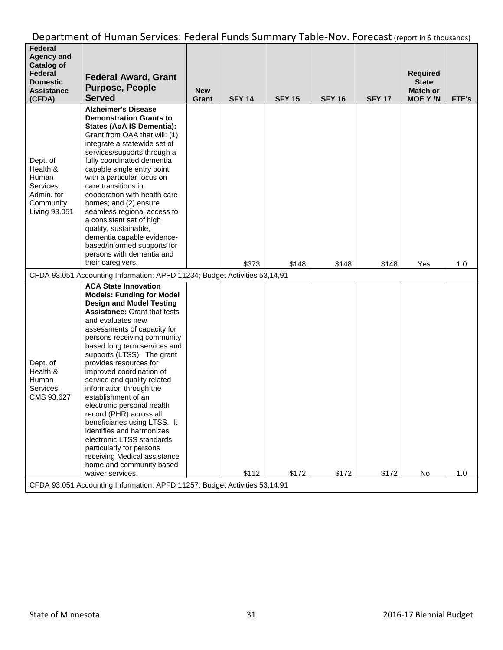| <b>Alzheimer's Disease</b><br><b>Demonstration Grants to</b><br><b>States (AoA IS Dementia):</b><br>Grant from OAA that will: (1)<br>integrate a statewide set of<br>services/supports through a<br>fully coordinated dementia<br>Dept. of<br>capable single entry point<br>Health &<br>Human<br>with a particular focus on<br>care transitions in<br>Services.<br>Admin. for<br>cooperation with health care<br>Community<br>homes; and (2) ensure<br>Living 93.051<br>seamless regional access to<br>a consistent set of high<br>quality, sustainable,<br>dementia capable evidence-<br>based/informed supports for<br>persons with dementia and<br>their caregivers.<br>\$373<br>\$148<br>\$148<br>\$148<br>Yes<br>CFDA 93.051 Accounting Information: APFD 11234; Budget Activities 53,14,91<br><b>ACA State Innovation</b>                       | Federal<br><b>Agency and</b><br><b>Catalog of</b><br>Federal<br><b>Domestic</b><br><b>Assistance</b><br>(CFDA) | <b>Federal Award, Grant</b><br><b>Purpose, People</b><br><b>Served</b> | <b>New</b><br>Grant | <b>SFY 14</b> | <b>SFY 15</b> | <b>SFY 16</b> | <b>SFY 17</b> | <b>Required</b><br><b>State</b><br><b>Match or</b><br><b>MOE Y/N</b> | FTE's |
|-------------------------------------------------------------------------------------------------------------------------------------------------------------------------------------------------------------------------------------------------------------------------------------------------------------------------------------------------------------------------------------------------------------------------------------------------------------------------------------------------------------------------------------------------------------------------------------------------------------------------------------------------------------------------------------------------------------------------------------------------------------------------------------------------------------------------------------------------------|----------------------------------------------------------------------------------------------------------------|------------------------------------------------------------------------|---------------------|---------------|---------------|---------------|---------------|----------------------------------------------------------------------|-------|
|                                                                                                                                                                                                                                                                                                                                                                                                                                                                                                                                                                                                                                                                                                                                                                                                                                                       |                                                                                                                |                                                                        |                     |               |               |               |               |                                                                      | 1.0   |
|                                                                                                                                                                                                                                                                                                                                                                                                                                                                                                                                                                                                                                                                                                                                                                                                                                                       |                                                                                                                |                                                                        |                     |               |               |               |               |                                                                      |       |
| <b>Models: Funding for Model</b><br><b>Design and Model Testing</b><br><b>Assistance: Grant that tests</b><br>and evaluates new<br>assessments of capacity for<br>persons receiving community<br>based long term services and<br>supports (LTSS). The grant<br>Dept. of<br>provides resources for<br>Health &<br>improved coordination of<br>Human<br>service and quality related<br>information through the<br>Services,<br>CMS 93.627<br>establishment of an<br>electronic personal health<br>record (PHR) across all<br>beneficiaries using LTSS. It<br>identifies and harmonizes<br>electronic LTSS standards<br>particularly for persons<br>receiving Medical assistance<br>home and community based<br>\$112<br>\$172<br>waiver services.<br>\$172<br>\$172<br>No<br>CFDA 93.051 Accounting Information: APFD 11257; Budget Activities 53,14,91 |                                                                                                                |                                                                        |                     |               |               |               |               |                                                                      | 1.0   |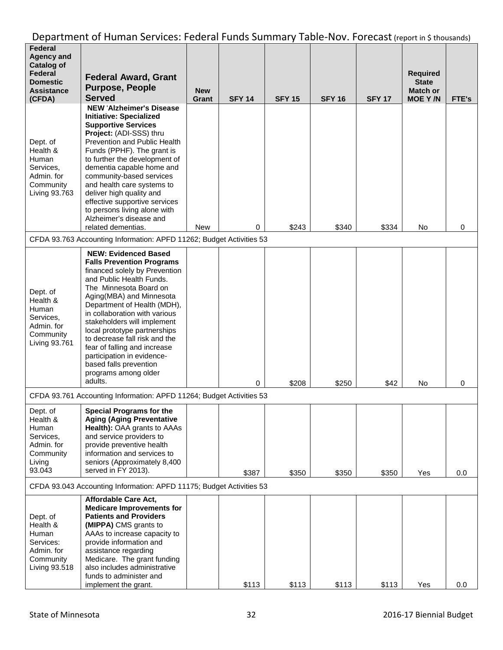| <b>Federal</b><br><b>Agency and</b>                                                       |                                                                                                                                                                                                                                                                                                                                                                                                                                                                               |            |               |               |               |               |                                 |       |
|-------------------------------------------------------------------------------------------|-------------------------------------------------------------------------------------------------------------------------------------------------------------------------------------------------------------------------------------------------------------------------------------------------------------------------------------------------------------------------------------------------------------------------------------------------------------------------------|------------|---------------|---------------|---------------|---------------|---------------------------------|-------|
| <b>Catalog of</b><br>Federal                                                              | <b>Federal Award, Grant</b>                                                                                                                                                                                                                                                                                                                                                                                                                                                   |            |               |               |               |               | <b>Required</b>                 |       |
| <b>Domestic</b><br><b>Assistance</b>                                                      | <b>Purpose, People</b>                                                                                                                                                                                                                                                                                                                                                                                                                                                        | <b>New</b> |               |               |               |               | <b>State</b><br><b>Match or</b> |       |
| (CFDA)                                                                                    | <b>Served</b><br><b>NEW 'Alzheimer's Disease</b>                                                                                                                                                                                                                                                                                                                                                                                                                              | Grant      | <b>SFY 14</b> | <b>SFY 15</b> | <b>SFY 16</b> | <b>SFY 17</b> | <b>MOE Y/N</b>                  | FTE's |
| Dept. of<br>Health &<br>Human<br>Services,<br>Admin. for<br>Community<br>Living 93.763    | <b>Initiative: Specialized</b><br><b>Supportive Services</b><br>Project: (ADI-SSS) thru<br>Prevention and Public Health<br>Funds (PPHF). The grant is<br>to further the development of<br>dementia capable home and<br>community-based services<br>and health care systems to<br>deliver high quality and<br>effective supportive services<br>to persons living alone with<br>Alzheimer's disease and<br>related dementias.                                                   | <b>New</b> | 0             | \$243         | \$340         | \$334         | No                              | 0     |
|                                                                                           | CFDA 93.763 Accounting Information: APFD 11262; Budget Activities 53                                                                                                                                                                                                                                                                                                                                                                                                          |            |               |               |               |               |                                 |       |
| Dept. of<br>Health &<br>Human<br>Services,<br>Admin. for<br>Community<br>Living 93.761    | <b>NEW: Evidenced Based</b><br><b>Falls Prevention Programs</b><br>financed solely by Prevention<br>and Public Health Funds.<br>The Minnesota Board on<br>Aging(MBA) and Minnesota<br>Department of Health (MDH),<br>in collaboration with various<br>stakeholders will implement<br>local prototype partnerships<br>to decrease fall risk and the<br>fear of falling and increase<br>participation in evidence-<br>based falls prevention<br>programs among older<br>adults. |            | 0             | \$208         | \$250         | \$42          | No                              | 0     |
|                                                                                           | CFDA 93.761 Accounting Information: APFD 11264; Budget Activities 53                                                                                                                                                                                                                                                                                                                                                                                                          |            |               |               |               |               |                                 |       |
| Dept. of<br>Health &<br>Human<br>Services,<br>Admin. for<br>Community<br>Living<br>93.043 | <b>Special Programs for the</b><br><b>Aging (Aging Preventative</b><br>Health): OAA grants to AAAs<br>and service providers to<br>provide preventive health<br>information and services to<br>seniors (Approximately 8,400<br>served in FY 2013).                                                                                                                                                                                                                             |            | \$387         | \$350         | \$350         | \$350         | Yes                             | 0.0   |
|                                                                                           | CFDA 93.043 Accounting Information: APFD 11175; Budget Activities 53                                                                                                                                                                                                                                                                                                                                                                                                          |            |               |               |               |               |                                 |       |
| Dept. of<br>Health &<br>Human<br>Services:<br>Admin. for<br>Community<br>Living 93.518    | Affordable Care Act,<br><b>Medicare Improvements for</b><br><b>Patients and Providers</b><br>(MIPPA) CMS grants to<br>AAAs to increase capacity to<br>provide information and<br>assistance regarding<br>Medicare. The grant funding<br>also includes administrative<br>funds to administer and<br>implement the grant.                                                                                                                                                       |            | \$113         | \$113         | \$113         | \$113         | Yes                             | 0.0   |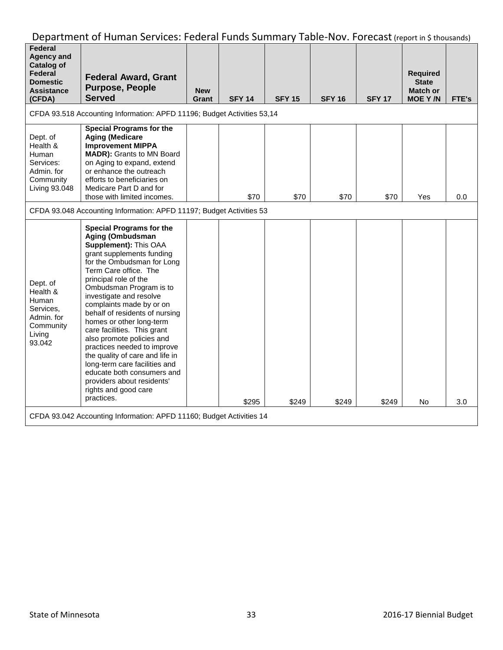| Federal<br><b>Agency and</b><br><b>Catalog of</b><br>Federal<br><b>Domestic</b><br><b>Assistance</b><br>(CFDA) | <b>Federal Award, Grant</b><br><b>Purpose, People</b><br><b>Served</b>                                                                                                                                                                                                                                                                                                                                                                                                                                                                                                                                     | <b>New</b><br>Grant | <b>SFY 14</b> | <b>SFY 15</b> | <b>SFY 16</b> | <b>SFY 17</b> | <b>Required</b><br><b>State</b><br><b>Match or</b><br><b>MOE Y/N</b> | FTE's |  |
|----------------------------------------------------------------------------------------------------------------|------------------------------------------------------------------------------------------------------------------------------------------------------------------------------------------------------------------------------------------------------------------------------------------------------------------------------------------------------------------------------------------------------------------------------------------------------------------------------------------------------------------------------------------------------------------------------------------------------------|---------------------|---------------|---------------|---------------|---------------|----------------------------------------------------------------------|-------|--|
|                                                                                                                | CFDA 93.518 Accounting Information: APFD 11196; Budget Activities 53,14                                                                                                                                                                                                                                                                                                                                                                                                                                                                                                                                    |                     |               |               |               |               |                                                                      |       |  |
| Dept. of<br>Health &<br>Human<br>Services:<br>Admin. for<br>Community<br>Living 93.048                         | <b>Special Programs for the</b><br><b>Aging (Medicare</b><br><b>Improvement MIPPA</b><br><b>MADR):</b> Grants to MN Board<br>on Aging to expand, extend<br>or enhance the outreach<br>efforts to beneficiaries on<br>Medicare Part D and for<br>those with limited incomes.                                                                                                                                                                                                                                                                                                                                |                     | \$70          | \$70          | \$70          | \$70          | Yes                                                                  | 0.0   |  |
| CFDA 93.048 Accounting Information: APFD 11197; Budget Activities 53                                           |                                                                                                                                                                                                                                                                                                                                                                                                                                                                                                                                                                                                            |                     |               |               |               |               |                                                                      |       |  |
| Dept. of<br>Health &<br>Human<br>Services.<br>Admin. for<br>Community<br>Living<br>93.042                      | <b>Special Programs for the</b><br>Aging (Ombudsman<br>Supplement): This OAA<br>grant supplements funding<br>for the Ombudsman for Long<br>Term Care office. The<br>principal role of the<br>Ombudsman Program is to<br>investigate and resolve<br>complaints made by or on<br>behalf of residents of nursing<br>homes or other long-term<br>care facilities. This grant<br>also promote policies and<br>practices needed to improve<br>the quality of care and life in<br>long-term care facilities and<br>educate both consumers and<br>providers about residents'<br>rights and good care<br>practices. |                     | \$295         | \$249         | \$249         | \$249         | No.                                                                  | 3.0   |  |
| CFDA 93.042 Accounting Information: APFD 11160; Budget Activities 14                                           |                                                                                                                                                                                                                                                                                                                                                                                                                                                                                                                                                                                                            |                     |               |               |               |               |                                                                      |       |  |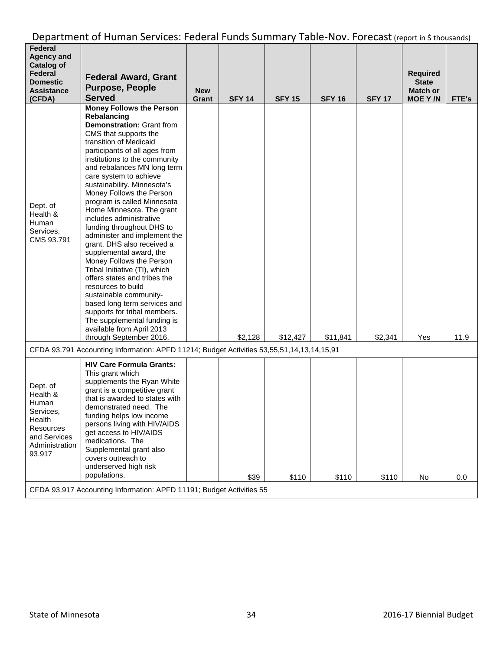| Federal<br><b>Agency and</b><br><b>Catalog of</b><br>Federal<br><b>Domestic</b><br><b>Assistance</b><br>(CFDA)       | <b>Federal Award, Grant</b><br><b>Purpose, People</b><br><b>Served</b>                                                                                                                                                                                                                                                                                                                                                                                                                                                                                                                                                                                                                                                                                                                                                                | <b>New</b><br>Grant | <b>SFY 14</b> | <b>SFY 15</b> | <b>SFY 16</b> | <b>SFY 17</b> | <b>Required</b><br><b>State</b><br>Match or<br><b>MOE Y/N</b> | FTE's |
|----------------------------------------------------------------------------------------------------------------------|---------------------------------------------------------------------------------------------------------------------------------------------------------------------------------------------------------------------------------------------------------------------------------------------------------------------------------------------------------------------------------------------------------------------------------------------------------------------------------------------------------------------------------------------------------------------------------------------------------------------------------------------------------------------------------------------------------------------------------------------------------------------------------------------------------------------------------------|---------------------|---------------|---------------|---------------|---------------|---------------------------------------------------------------|-------|
| Dept. of<br>Health &<br>Human<br>Services,<br>CMS 93.791                                                             | <b>Money Follows the Person</b><br>Rebalancing<br>Demonstration: Grant from<br>CMS that supports the<br>transition of Medicaid<br>participants of all ages from<br>institutions to the community<br>and rebalances MN long term<br>care system to achieve<br>sustainability. Minnesota's<br>Money Follows the Person<br>program is called Minnesota<br>Home Minnesota. The grant<br>includes administrative<br>funding throughout DHS to<br>administer and implement the<br>grant. DHS also received a<br>supplemental award, the<br>Money Follows the Person<br>Tribal Initiative (TI), which<br>offers states and tribes the<br>resources to build<br>sustainable community-<br>based long term services and<br>supports for tribal members.<br>The supplemental funding is<br>available from April 2013<br>through September 2016. |                     | \$2,128       | \$12,427      | \$11,841      | \$2,341       | Yes                                                           | 11.9  |
|                                                                                                                      | CFDA 93.791 Accounting Information: APFD 11214; Budget Activities 53,55,51,14,13,14,15,91                                                                                                                                                                                                                                                                                                                                                                                                                                                                                                                                                                                                                                                                                                                                             |                     |               |               |               |               |                                                               |       |
| Dept. of<br>Health &<br>Human<br>Services,<br>Health<br><b>Resources</b><br>and Services<br>Administration<br>93.917 | <b>HIV Care Formula Grants:</b><br>This grant which<br>supplements the Ryan White<br>grant is a competitive grant<br>that is awarded to states with<br>demonstrated need. The<br>funding helps low income<br>persons living with HIV/AIDS<br>get access to HIV/AIDS<br>medications. The<br>Supplemental grant also<br>covers outreach to<br>underserved high risk<br>populations.                                                                                                                                                                                                                                                                                                                                                                                                                                                     |                     | \$39          | \$110         | \$110         | \$110         | No                                                            | 0.0   |
| CFDA 93.917 Accounting Information: APFD 11191; Budget Activities 55                                                 |                                                                                                                                                                                                                                                                                                                                                                                                                                                                                                                                                                                                                                                                                                                                                                                                                                       |                     |               |               |               |               |                                                               |       |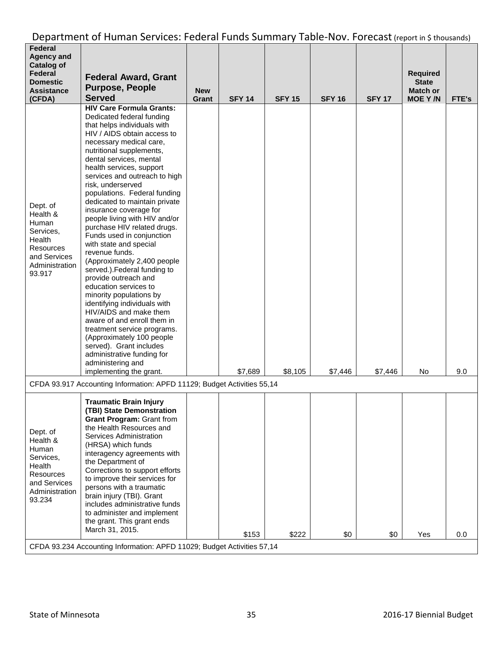| <b>Federal</b><br><b>Agency and</b><br><b>Catalog of</b><br>Federal<br><b>Domestic</b><br><b>Assistance</b><br>(CFDA) | <b>Federal Award, Grant</b><br><b>Purpose, People</b><br><b>Served</b>                                                                                                                                                                                                                                                                                                                                                                                                                                                                                                                                                                                                                                                                                                                                                                                                                                                                      | <b>New</b><br>Grant | <b>SFY 14</b> | <b>SFY 15</b> | <b>SFY 16</b> | <b>SFY 17</b> | <b>Required</b><br><b>State</b><br><b>Match or</b><br><b>MOE Y/N</b> | FTE's |
|-----------------------------------------------------------------------------------------------------------------------|---------------------------------------------------------------------------------------------------------------------------------------------------------------------------------------------------------------------------------------------------------------------------------------------------------------------------------------------------------------------------------------------------------------------------------------------------------------------------------------------------------------------------------------------------------------------------------------------------------------------------------------------------------------------------------------------------------------------------------------------------------------------------------------------------------------------------------------------------------------------------------------------------------------------------------------------|---------------------|---------------|---------------|---------------|---------------|----------------------------------------------------------------------|-------|
| Dept. of<br>Health &<br>Human<br>Services.<br>Health<br>Resources<br>and Services<br>Administration<br>93.917         | <b>HIV Care Formula Grants:</b><br>Dedicated federal funding<br>that helps individuals with<br>HIV / AIDS obtain access to<br>necessary medical care,<br>nutritional supplements,<br>dental services, mental<br>health services, support<br>services and outreach to high<br>risk, underserved<br>populations. Federal funding<br>dedicated to maintain private<br>insurance coverage for<br>people living with HIV and/or<br>purchase HIV related drugs.<br>Funds used in conjunction<br>with state and special<br>revenue funds.<br>(Approximately 2,400 people<br>served.). Federal funding to<br>provide outreach and<br>education services to<br>minority populations by<br>identifying individuals with<br>HIV/AIDS and make them<br>aware of and enroll them in<br>treatment service programs.<br>(Approximately 100 people<br>served). Grant includes<br>administrative funding for<br>administering and<br>implementing the grant. |                     | \$7,689       | \$8,105       | \$7,446       | \$7,446       | No                                                                   | 9.0   |
| CFDA 93.917 Accounting Information: APFD 11129; Budget Activities 55,14                                               |                                                                                                                                                                                                                                                                                                                                                                                                                                                                                                                                                                                                                                                                                                                                                                                                                                                                                                                                             |                     |               |               |               |               |                                                                      |       |
| Dept. of<br>Health &<br>Human<br>Services,<br>Health<br>Resources<br>and Services<br>Administration<br>93.234         | <b>Traumatic Brain Injury</b><br>(TBI) State Demonstration<br><b>Grant Program: Grant from</b><br>the Health Resources and<br>Services Administration<br>(HRSA) which funds<br>interagency agreements with<br>the Department of<br>Corrections to support efforts<br>to improve their services for<br>persons with a traumatic<br>brain injury (TBI). Grant<br>includes administrative funds<br>to administer and implement<br>the grant. This grant ends<br>March 31, 2015.                                                                                                                                                                                                                                                                                                                                                                                                                                                                |                     | \$153         | \$222         | \$0           | \$0           | Yes                                                                  | 0.0   |
| CFDA 93.234 Accounting Information: APFD 11029; Budget Activities 57,14                                               |                                                                                                                                                                                                                                                                                                                                                                                                                                                                                                                                                                                                                                                                                                                                                                                                                                                                                                                                             |                     |               |               |               |               |                                                                      |       |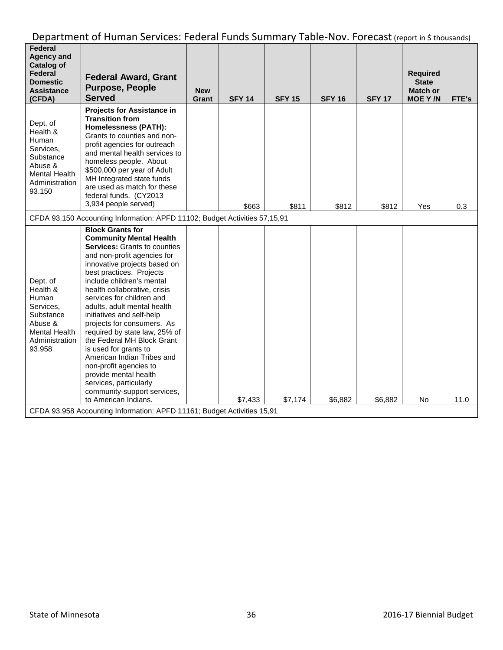| Federal<br><b>Agency and</b><br><b>Catalog of</b><br>Federal<br><b>Domestic</b><br><b>Assistance</b><br>(CFDA)         | <b>Federal Award, Grant</b><br><b>Purpose, People</b><br><b>Served</b>                                                                                                                                                                                                                                                                                                                                                                                                                                                                                                                                                                                                                                               | <b>New</b><br>Grant | <b>SFY 14</b> | <b>SFY 15</b> | <b>SFY 16</b> | <b>SFY 17</b> | <b>Required</b><br><b>State</b><br><b>Match or</b><br><b>MOE Y/N</b> | FTE's |
|------------------------------------------------------------------------------------------------------------------------|----------------------------------------------------------------------------------------------------------------------------------------------------------------------------------------------------------------------------------------------------------------------------------------------------------------------------------------------------------------------------------------------------------------------------------------------------------------------------------------------------------------------------------------------------------------------------------------------------------------------------------------------------------------------------------------------------------------------|---------------------|---------------|---------------|---------------|---------------|----------------------------------------------------------------------|-------|
| Dept. of<br>Health &<br>Human<br>Services,<br>Substance<br>Abuse &<br><b>Mental Health</b><br>Administration<br>93.150 | <b>Projects for Assistance in</b><br><b>Transition from</b><br><b>Homelessness (PATH):</b><br>Grants to counties and non-<br>profit agencies for outreach<br>and mental health services to<br>homeless people. About<br>\$500,000 per year of Adult<br>MH Integrated state funds<br>are used as match for these<br>federal funds. (CY2013<br>3,934 people served)                                                                                                                                                                                                                                                                                                                                                    |                     | \$663         | \$811         | \$812         | \$812         | Yes                                                                  | 0.3   |
| CFDA 93.150 Accounting Information: APFD 11102; Budget Activities 57,15,91                                             |                                                                                                                                                                                                                                                                                                                                                                                                                                                                                                                                                                                                                                                                                                                      |                     |               |               |               |               |                                                                      |       |
| Dept. of<br>Health &<br>Human<br>Services,<br>Substance<br>Abuse &<br><b>Mental Health</b><br>Administration<br>93.958 | <b>Block Grants for</b><br><b>Community Mental Health</b><br><b>Services:</b> Grants to counties<br>and non-profit agencies for<br>innovative projects based on<br>best practices. Projects<br>include children's mental<br>health collaborative, crisis<br>services for children and<br>adults, adult mental health<br>initiatives and self-help<br>projects for consumers. As<br>required by state law, 25% of<br>the Federal MH Block Grant<br>is used for grants to<br>American Indian Tribes and<br>non-profit agencies to<br>provide mental health<br>services, particularly<br>community-support services,<br>to American Indians.<br>CFDA 93.958 Accounting Information: APFD 11161; Budget Activities 15,91 |                     | \$7,433       | \$7,174       | \$6,882       | \$6,882       | No                                                                   | 11.0  |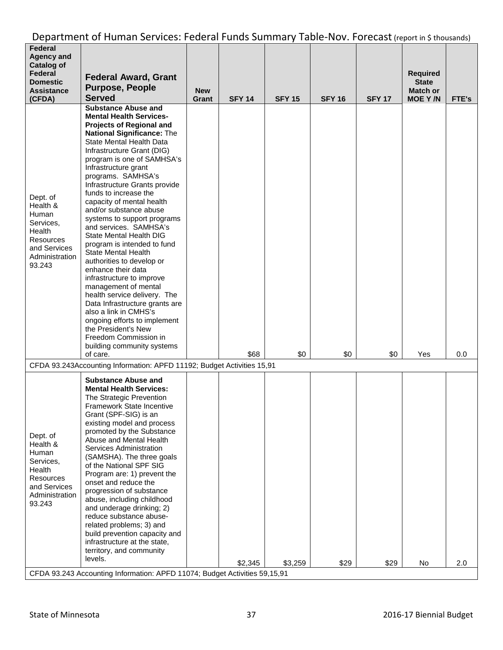| Federal<br><b>Agency and</b><br><b>Catalog of</b><br>Federal<br><b>Domestic</b><br><b>Assistance</b><br>(CFDA)       | <b>Federal Award, Grant</b><br><b>Purpose, People</b><br><b>Served</b>                                                                                                                                                                                                                                                                                                                                                                                                                                                                                                                                                                                                                                                                                                                                                                                             | <b>New</b><br>Grant | <b>SFY 14</b> | <b>SFY 15</b> | <b>SFY 16</b> | <b>SFY 17</b> | <b>Required</b><br><b>State</b><br><b>Match or</b><br><b>MOE Y/N</b> | FTE's |
|----------------------------------------------------------------------------------------------------------------------|--------------------------------------------------------------------------------------------------------------------------------------------------------------------------------------------------------------------------------------------------------------------------------------------------------------------------------------------------------------------------------------------------------------------------------------------------------------------------------------------------------------------------------------------------------------------------------------------------------------------------------------------------------------------------------------------------------------------------------------------------------------------------------------------------------------------------------------------------------------------|---------------------|---------------|---------------|---------------|---------------|----------------------------------------------------------------------|-------|
| Dept. of<br>Health &<br>Human<br>Services,<br>Health<br><b>Resources</b><br>and Services<br>Administration<br>93.243 | <b>Substance Abuse and</b><br><b>Mental Health Services-</b><br><b>Projects of Regional and</b><br><b>National Significance: The</b><br>State Mental Health Data<br>Infrastructure Grant (DIG)<br>program is one of SAMHSA's<br>Infrastructure grant<br>programs. SAMHSA's<br>Infrastructure Grants provide<br>funds to increase the<br>capacity of mental health<br>and/or substance abuse<br>systems to support programs<br>and services. SAMHSA's<br>State Mental Health DIG<br>program is intended to fund<br>State Mental Health<br>authorities to develop or<br>enhance their data<br>infrastructure to improve<br>management of mental<br>health service delivery. The<br>Data Infrastructure grants are<br>also a link in CMHS's<br>ongoing efforts to implement<br>the President's New<br>Freedom Commission in<br>building community systems<br>of care. |                     | \$68          | \$0           | \$0           | \$0           | Yes                                                                  | 0.0   |
|                                                                                                                      | CFDA 93.243Accounting Information: APFD 11192; Budget Activities 15,91                                                                                                                                                                                                                                                                                                                                                                                                                                                                                                                                                                                                                                                                                                                                                                                             |                     |               |               |               |               |                                                                      |       |
| Dept. of<br>Health &<br>Human<br>Services,<br>Health<br><b>Resources</b><br>and Services<br>Administration<br>93.243 | <b>Substance Abuse and</b><br><b>Mental Health Services:</b><br>The Strategic Prevention<br><b>Framework State Incentive</b><br>Grant (SPF-SIG) is an<br>existing model and process<br>promoted by the Substance<br>Abuse and Mental Health<br>Services Administration<br>(SAMSHA). The three goals<br>of the National SPF SIG<br>Program are: 1) prevent the<br>onset and reduce the<br>progression of substance<br>abuse, including childhood<br>and underage drinking; 2)<br>reduce substance abuse-<br>related problems; 3) and<br>build prevention capacity and<br>infrastructure at the state,<br>territory, and community<br>levels.                                                                                                                                                                                                                        |                     | \$2,345       | \$3,259       | \$29          | \$29          | No                                                                   | 2.0   |
| CFDA 93.243 Accounting Information: APFD 11074; Budget Activities 59,15,91                                           |                                                                                                                                                                                                                                                                                                                                                                                                                                                                                                                                                                                                                                                                                                                                                                                                                                                                    |                     |               |               |               |               |                                                                      |       |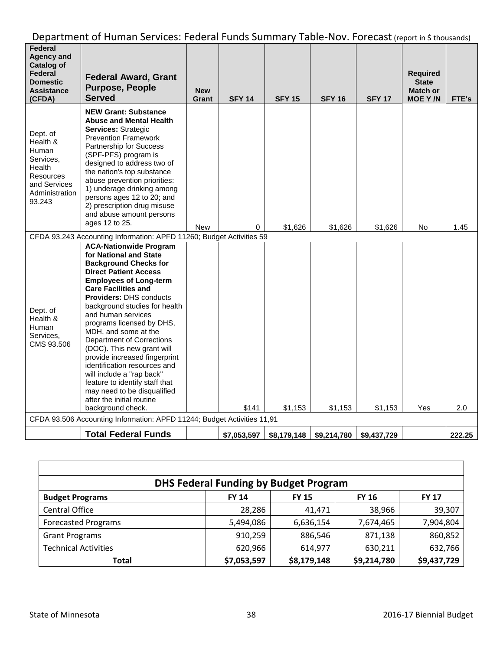| Federal<br><b>Agency and</b><br><b>Catalog of</b><br>Federal<br><b>Domestic</b><br><b>Assistance</b><br>(CFDA) | <b>Federal Award, Grant</b><br><b>Purpose, People</b><br><b>Served</b>                                                                                                                                                                                                                                                                                                                                                                                                                                                                                                                                                  | <b>New</b><br>Grant | <b>SFY 14</b> | <b>SFY 15</b> | <b>SFY 16</b> | <b>SFY 17</b> | <b>Required</b><br><b>State</b><br>Match or<br><b>MOE Y/N</b> | <b>FTE's</b> |
|----------------------------------------------------------------------------------------------------------------|-------------------------------------------------------------------------------------------------------------------------------------------------------------------------------------------------------------------------------------------------------------------------------------------------------------------------------------------------------------------------------------------------------------------------------------------------------------------------------------------------------------------------------------------------------------------------------------------------------------------------|---------------------|---------------|---------------|---------------|---------------|---------------------------------------------------------------|--------------|
| Dept. of<br>Health &<br>Human<br>Services,<br>Health<br>Resources<br>and Services<br>Administration<br>93.243  | <b>NEW Grant: Substance</b><br><b>Abuse and Mental Health</b><br>Services: Strategic<br><b>Prevention Framework</b><br>Partnership for Success<br>(SPF-PFS) program is<br>designed to address two of<br>the nation's top substance<br>abuse prevention priorities:<br>1) underage drinking among<br>persons ages 12 to 20; and<br>2) prescription drug misuse<br>and abuse amount persons<br>ages 12 to 25.                                                                                                                                                                                                             | <b>New</b>          | 0             | \$1,626       | \$1,626       | \$1,626       | No                                                            | 1.45         |
|                                                                                                                | CFDA 93.243 Accounting Information: APFD 11260; Budget Activities 59                                                                                                                                                                                                                                                                                                                                                                                                                                                                                                                                                    |                     |               |               |               |               |                                                               |              |
| Dept. of<br>Health &<br>Human<br>Services.<br>CMS 93.506                                                       | <b>ACA-Nationwide Program</b><br>for National and State<br><b>Background Checks for</b><br><b>Direct Patient Access</b><br><b>Employees of Long-term</b><br><b>Care Facilities and</b><br><b>Providers: DHS conducts</b><br>background studies for health<br>and human services<br>programs licensed by DHS,<br>MDH, and some at the<br><b>Department of Corrections</b><br>(DOC). This new grant will<br>provide increased fingerprint<br>identification resources and<br>will include a "rap back"<br>feature to identify staff that<br>may need to be disqualified<br>after the initial routine<br>background check. |                     | \$141         | \$1,153       | \$1,153       | \$1,153       | Yes                                                           | 2.0          |
| CFDA 93.506 Accounting Information: APFD 11244; Budget Activities 11,91                                        |                                                                                                                                                                                                                                                                                                                                                                                                                                                                                                                                                                                                                         |                     |               |               |               |               |                                                               |              |
|                                                                                                                | <b>Total Federal Funds</b>                                                                                                                                                                                                                                                                                                                                                                                                                                                                                                                                                                                              |                     | \$7,053,597   | \$8,179,148   | \$9,214,780   | \$9,437,729   |                                                               | 222.25       |

| <b>DHS Federal Funding by Budget Program</b> |              |              |              |              |  |  |  |  |  |
|----------------------------------------------|--------------|--------------|--------------|--------------|--|--|--|--|--|
| <b>Budget Programs</b>                       | <b>FY 14</b> | <b>FY 15</b> | <b>FY 16</b> | <b>FY 17</b> |  |  |  |  |  |
| <b>Central Office</b>                        | 28,286       | 41,471       | 38,966       | 39,307       |  |  |  |  |  |
| <b>Forecasted Programs</b>                   | 5,494,086    | 6,636,154    | 7,674,465    | 7,904,804    |  |  |  |  |  |
| <b>Grant Programs</b>                        | 910,259      | 886,546      | 871,138      | 860,852      |  |  |  |  |  |
| <b>Technical Activities</b>                  | 620,966      | 614,977      | 630,211      | 632,766      |  |  |  |  |  |
| Total                                        | \$7,053,597  | \$8,179,148  | \$9,214,780  | \$9,437,729  |  |  |  |  |  |